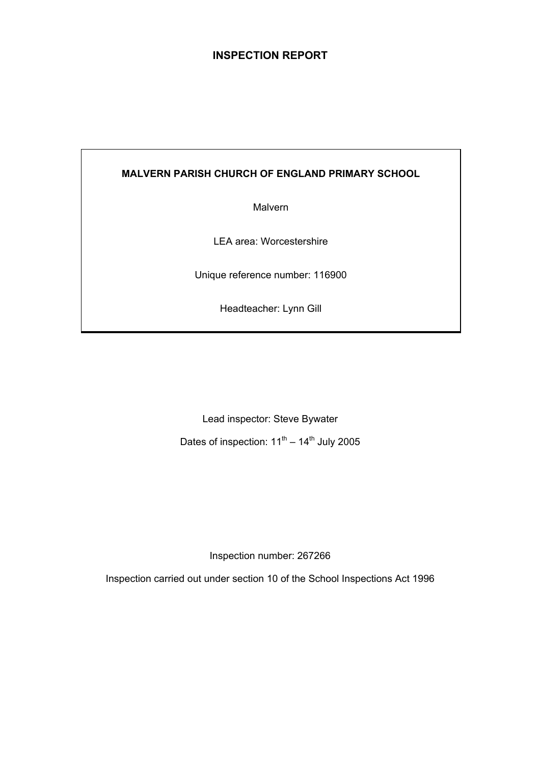# **INSPECTION REPORT**

# **MALVERN PARISH CHURCH OF ENGLAND PRIMARY SCHOOL**

Malvern

LEA area: Worcestershire

Unique reference number: 116900

Headteacher: Lynn Gill

Lead inspector: Steve Bywater

Dates of inspection:  $11^{th} - 14^{th}$  July 2005

Inspection number: 267266

Inspection carried out under section 10 of the School Inspections Act 1996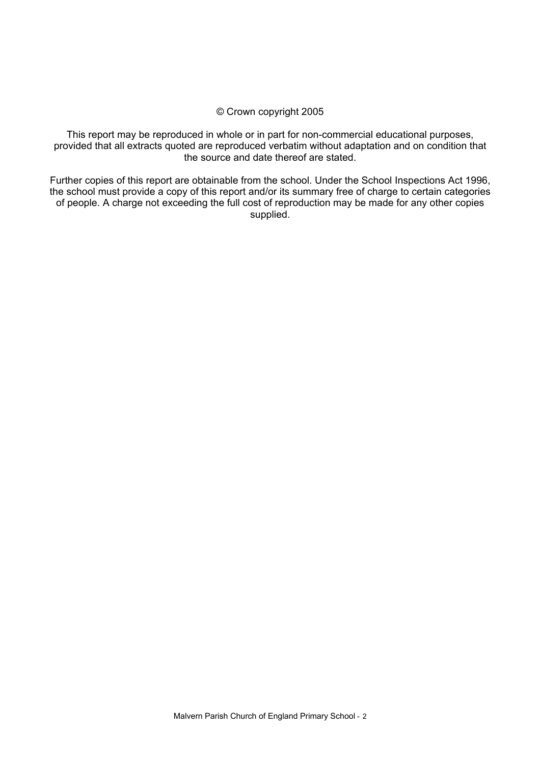#### © Crown copyright 2005

This report may be reproduced in whole or in part for non-commercial educational purposes, provided that all extracts quoted are reproduced verbatim without adaptation and on condition that the source and date thereof are stated.

Further copies of this report are obtainable from the school. Under the School Inspections Act 1996, the school must provide a copy of this report and/or its summary free of charge to certain categories of people. A charge not exceeding the full cost of reproduction may be made for any other copies supplied.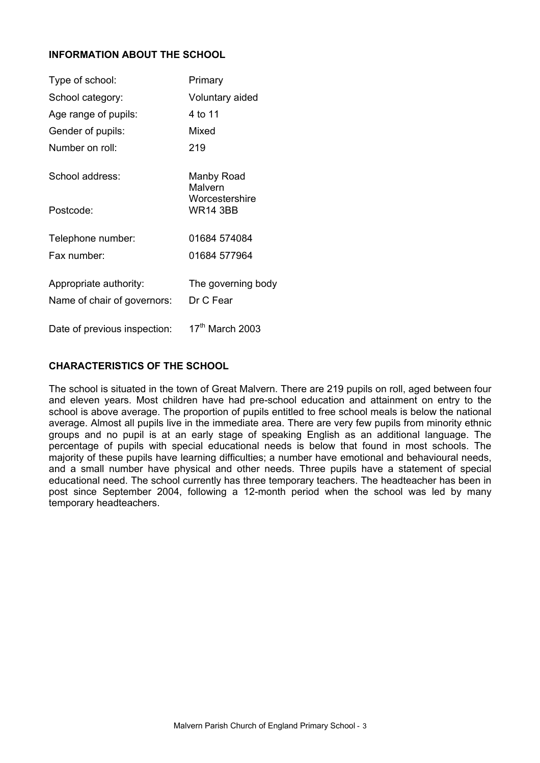## **INFORMATION ABOUT THE SCHOOL**

| Type of school:                                       | Primary                           |
|-------------------------------------------------------|-----------------------------------|
| School category:                                      | Voluntary aided                   |
| Age range of pupils:                                  | 4 to 11                           |
| Gender of pupils:                                     | Mixed                             |
| Number on roll:                                       | 219                               |
| School address:                                       | Manby Road<br>Malvern             |
| Postcode:                                             | Worcestershire<br><b>WR14 3BB</b> |
| Telephone number:                                     | 01684 574084                      |
| Fax number:                                           | 01684 577964                      |
| Appropriate authority:<br>Name of chair of governors: | The governing body<br>Dr C Fear   |
| Date of previous inspection:                          | 17th March 2003                   |

## **CHARACTERISTICS OF THE SCHOOL**

The school is situated in the town of Great Malvern. There are 219 pupils on roll, aged between four and eleven years. Most children have had pre-school education and attainment on entry to the school is above average. The proportion of pupils entitled to free school meals is below the national average. Almost all pupils live in the immediate area. There are very few pupils from minority ethnic groups and no pupil is at an early stage of speaking English as an additional language. The percentage of pupils with special educational needs is below that found in most schools. The majority of these pupils have learning difficulties; a number have emotional and behavioural needs, and a small number have physical and other needs. Three pupils have a statement of special educational need. The school currently has three temporary teachers. The headteacher has been in post since September 2004, following a 12-month period when the school was led by many temporary headteachers.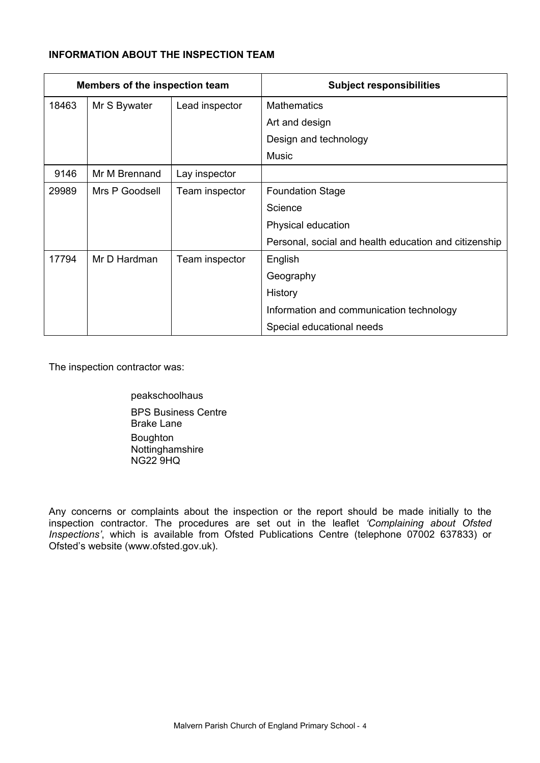# **INFORMATION ABOUT THE INSPECTION TEAM**

| Members of the inspection team          |                |                | <b>Subject responsibilities</b>                       |
|-----------------------------------------|----------------|----------------|-------------------------------------------------------|
| 18463<br>Lead inspector<br>Mr S Bywater |                |                | <b>Mathematics</b>                                    |
|                                         |                |                | Art and design                                        |
|                                         |                |                | Design and technology                                 |
|                                         |                |                | <b>Music</b>                                          |
| 9146                                    | Mr M Brennand  | Lay inspector  |                                                       |
| 29989                                   | Mrs P Goodsell | Team inspector | <b>Foundation Stage</b>                               |
|                                         |                |                | Science                                               |
|                                         |                |                | Physical education                                    |
|                                         |                |                | Personal, social and health education and citizenship |
| 17794                                   | Mr D Hardman   | Team inspector | English                                               |
|                                         |                |                | Geography                                             |
|                                         |                |                | History                                               |
|                                         |                |                | Information and communication technology              |
|                                         |                |                | Special educational needs                             |

The inspection contractor was:

 peakschoolhaus BPS Business Centre Brake Lane Boughton Nottinghamshire NG22 9HQ

Any concerns or complaints about the inspection or the report should be made initially to the inspection contractor. The procedures are set out in the leaflet *'Complaining about Ofsted Inspections'*, which is available from Ofsted Publications Centre (telephone 07002 637833) or Ofsted's website (www.ofsted.gov.uk).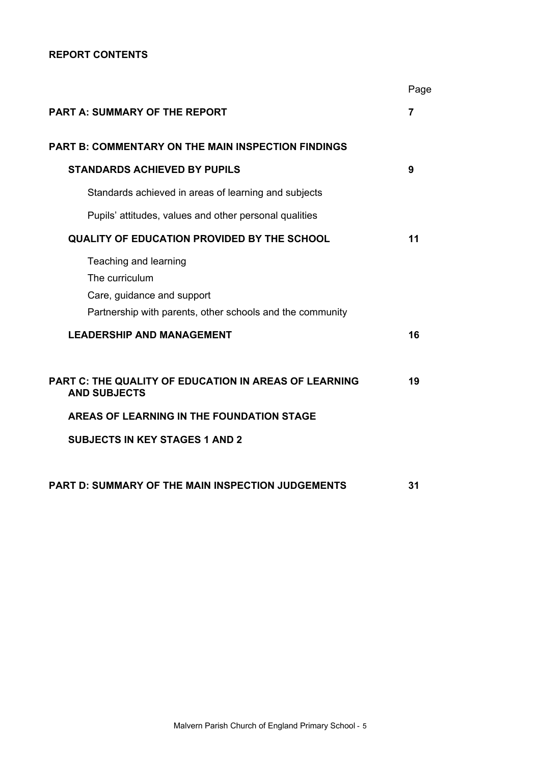## **REPORT CONTENTS**

|                                                                                                                                    | Page           |
|------------------------------------------------------------------------------------------------------------------------------------|----------------|
| <b>PART A: SUMMARY OF THE REPORT</b>                                                                                               | $\overline{7}$ |
| <b>PART B: COMMENTARY ON THE MAIN INSPECTION FINDINGS</b>                                                                          |                |
| <b>STANDARDS ACHIEVED BY PUPILS</b>                                                                                                | 9              |
| Standards achieved in areas of learning and subjects                                                                               |                |
| Pupils' attitudes, values and other personal qualities                                                                             |                |
| QUALITY OF EDUCATION PROVIDED BY THE SCHOOL                                                                                        | 11             |
| Teaching and learning<br>The curriculum<br>Care, guidance and support<br>Partnership with parents, other schools and the community |                |
| <b>LEADERSHIP AND MANAGEMENT</b>                                                                                                   | 16             |
| <b>PART C: THE QUALITY OF EDUCATION IN AREAS OF LEARNING</b><br><b>AND SUBJECTS</b>                                                | 19             |
| AREAS OF LEARNING IN THE FOUNDATION STAGE                                                                                          |                |
| <b>SUBJECTS IN KEY STAGES 1 AND 2</b>                                                                                              |                |
| <b>PART D: SUMMARY OF THE MAIN INSPECTION JUDGEMENTS</b>                                                                           | 31             |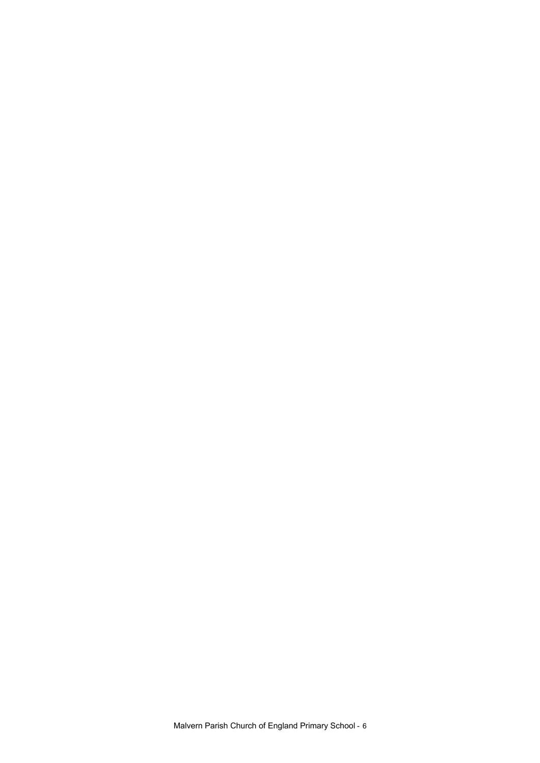Malvern Parish Church of England Primary School - 6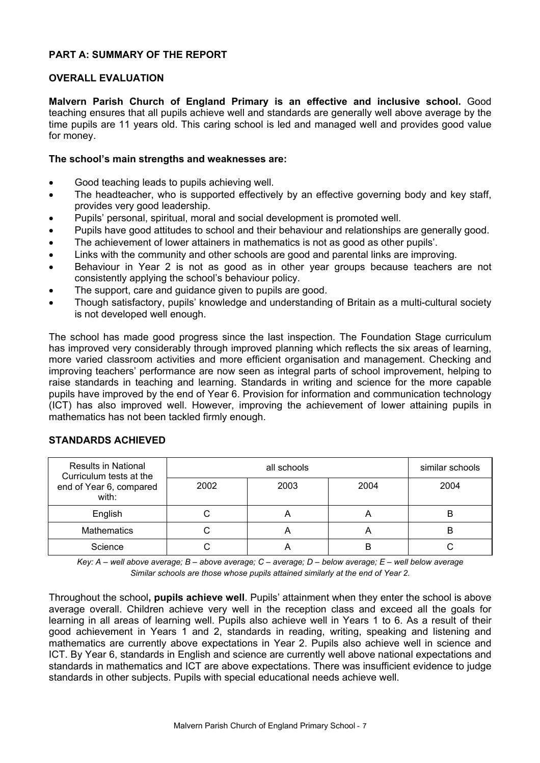## **PART A: SUMMARY OF THE REPORT**

#### **OVERALL EVALUATION**

**Malvern Parish Church of England Primary is an effective and inclusive school.** Good teaching ensures that all pupils achieve well and standards are generally well above average by the time pupils are 11 years old. This caring school is led and managed well and provides good value for money.

#### **The school's main strengths and weaknesses are:**

- Good teaching leads to pupils achieving well.
- The headteacher, who is supported effectively by an effective governing body and key staff. provides very good leadership.
- Pupils' personal, spiritual, moral and social development is promoted well.
- Pupils have good attitudes to school and their behaviour and relationships are generally good.
- The achievement of lower attainers in mathematics is not as good as other pupils'.
- Links with the community and other schools are good and parental links are improving.
- Behaviour in Year 2 is not as good as in other year groups because teachers are not consistently applying the school's behaviour policy.
- The support, care and guidance given to pupils are good.
- Though satisfactory, pupils' knowledge and understanding of Britain as a multi-cultural society is not developed well enough.

The school has made good progress since the last inspection. The Foundation Stage curriculum has improved very considerably through improved planning which reflects the six areas of learning, more varied classroom activities and more efficient organisation and management. Checking and improving teachers' performance are now seen as integral parts of school improvement, helping to raise standards in teaching and learning. Standards in writing and science for the more capable pupils have improved by the end of Year 6. Provision for information and communication technology (ICT) has also improved well. However, improving the achievement of lower attaining pupils in mathematics has not been tackled firmly enough.

#### **STANDARDS ACHIEVED**

| <b>Results in National</b><br>Curriculum tests at the |      | similar schools |      |      |
|-------------------------------------------------------|------|-----------------|------|------|
| end of Year 6, compared<br>with:                      | 2002 | 2003            | 2004 | 2004 |
| English                                               |      | $\forall$       | A    | B    |
| <b>Mathematics</b>                                    |      |                 |      | B    |
| Science                                               |      |                 |      |      |

*Key: A – well above average; B – above average; C – average; D – below average; E – well below average Similar schools are those whose pupils attained similarly at the end of Year 2.* 

Throughout the school**, pupils achieve well**. Pupils' attainment when they enter the school is above average overall. Children achieve very well in the reception class and exceed all the goals for learning in all areas of learning well. Pupils also achieve well in Years 1 to 6. As a result of their good achievement in Years 1 and 2, standards in reading, writing, speaking and listening and mathematics are currently above expectations in Year 2. Pupils also achieve well in science and ICT. By Year 6, standards in English and science are currently well above national expectations and standards in mathematics and ICT are above expectations. There was insufficient evidence to judge standards in other subjects. Pupils with special educational needs achieve well.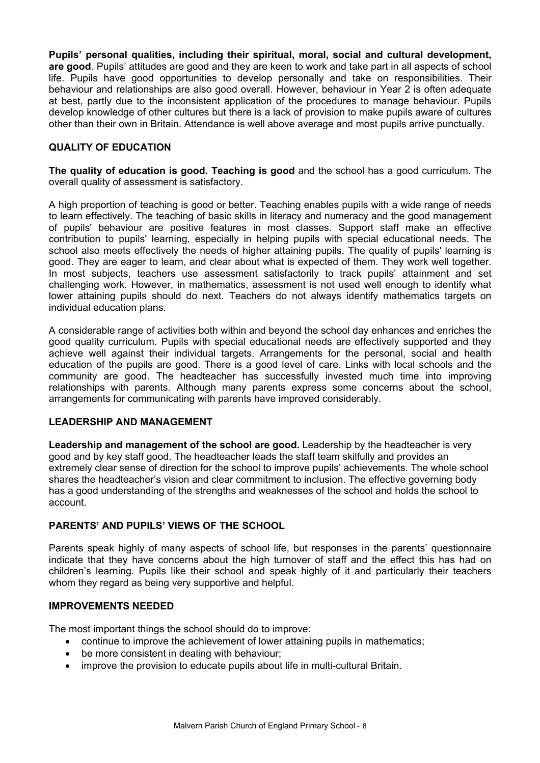**Pupils' personal qualities, including their spiritual, moral, social and cultural development, are good**. Pupils' attitudes are good and they are keen to work and take part in all aspects of school life. Pupils have good opportunities to develop personally and take on responsibilities. Their behaviour and relationships are also good overall. However, behaviour in Year 2 is often adequate at best, partly due to the inconsistent application of the procedures to manage behaviour. Pupils develop knowledge of other cultures but there is a lack of provision to make pupils aware of cultures other than their own in Britain. Attendance is well above average and most pupils arrive punctually.

## **QUALITY OF EDUCATION**

**The quality of education is good. Teaching is good** and the school has a good curriculum. The overall quality of assessment is satisfactory.

A high proportion of teaching is good or better. Teaching enables pupils with a wide range of needs to learn effectively. The teaching of basic skills in literacy and numeracy and the good management of pupils' behaviour are positive features in most classes. Support staff make an effective contribution to pupils' learning, especially in helping pupils with special educational needs. The school also meets effectively the needs of higher attaining pupils. The quality of pupils' learning is good. They are eager to learn, and clear about what is expected of them. They work well together. In most subjects, teachers use assessment satisfactorily to track pupils' attainment and set challenging work. However, in mathematics, assessment is not used well enough to identify what lower attaining pupils should do next. Teachers do not always identify mathematics targets on individual education plans.

A considerable range of activities both within and beyond the school day enhances and enriches the good quality curriculum. Pupils with special educational needs are effectively supported and they achieve well against their individual targets. Arrangements for the personal, social and health education of the pupils are good. There is a good level of care. Links with local schools and the community are good. The headteacher has successfully invested much time into improving relationships with parents. Although many parents express some concerns about the school, arrangements for communicating with parents have improved considerably.

## **LEADERSHIP AND MANAGEMENT**

**Leadership and management of the school are good.** Leadership by the headteacher is very good and by key staff good. The headteacher leads the staff team skilfully and provides an extremely clear sense of direction for the school to improve pupils' achievements. The whole school shares the headteacher's vision and clear commitment to inclusion. The effective governing body has a good understanding of the strengths and weaknesses of the school and holds the school to account.

## **PARENTS' AND PUPILS' VIEWS OF THE SCHOOL**

Parents speak highly of many aspects of school life, but responses in the parents' questionnaire indicate that they have concerns about the high turnover of staff and the effect this has had on children's learning. Pupils like their school and speak highly of it and particularly their teachers whom they regard as being very supportive and helpful.

#### **IMPROVEMENTS NEEDED**

The most important things the school should do to improve:

- continue to improve the achievement of lower attaining pupils in mathematics;
- be more consistent in dealing with behaviour;
- improve the provision to educate pupils about life in multi-cultural Britain.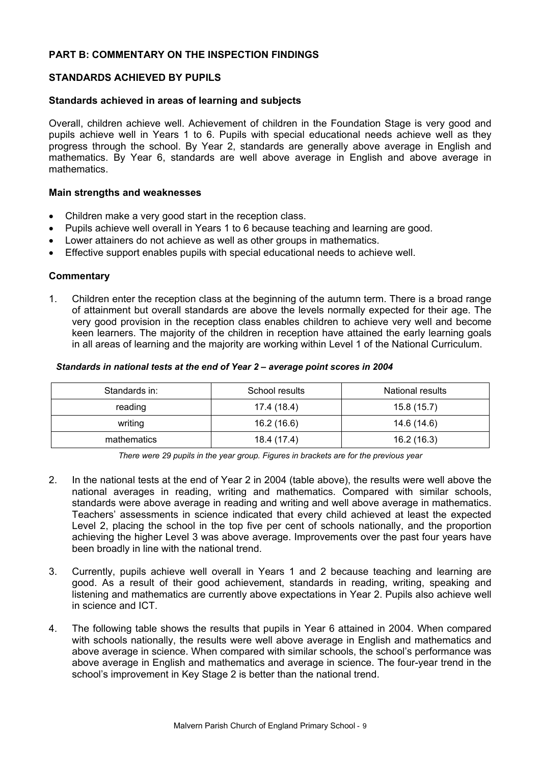## **PART B: COMMENTARY ON THE INSPECTION FINDINGS**

## **STANDARDS ACHIEVED BY PUPILS**

#### **Standards achieved in areas of learning and subjects**

Overall, children achieve well. Achievement of children in the Foundation Stage is very good and pupils achieve well in Years 1 to 6. Pupils with special educational needs achieve well as they progress through the school. By Year 2, standards are generally above average in English and mathematics. By Year 6, standards are well above average in English and above average in mathematics.

#### **Main strengths and weaknesses**

- Children make a very good start in the reception class.
- Pupils achieve well overall in Years 1 to 6 because teaching and learning are good.
- Lower attainers do not achieve as well as other groups in mathematics.
- Effective support enables pupils with special educational needs to achieve well.

#### **Commentary**

1. Children enter the reception class at the beginning of the autumn term. There is a broad range of attainment but overall standards are above the levels normally expected for their age. The very good provision in the reception class enables children to achieve very well and become keen learners. The majority of the children in reception have attained the early learning goals in all areas of learning and the majority are working within Level 1 of the National Curriculum.

#### *Standards in national tests at the end of Year 2 – average point scores in 2004*

| Standards in: | School results | National results |
|---------------|----------------|------------------|
| reading       | 17.4 (18.4)    | 15.8(15.7)       |
| writing       | 16.2 (16.6)    | 14.6 (14.6)      |
| mathematics   | 18.4 (17.4)    | 16.2 (16.3)      |

*There were 29 pupils in the year group. Figures in brackets are for the previous year* 

- 2. In the national tests at the end of Year 2 in 2004 (table above), the results were well above the national averages in reading, writing and mathematics. Compared with similar schools, standards were above average in reading and writing and well above average in mathematics. Teachers' assessments in science indicated that every child achieved at least the expected Level 2, placing the school in the top five per cent of schools nationally, and the proportion achieving the higher Level 3 was above average. Improvements over the past four years have been broadly in line with the national trend.
- 3. Currently, pupils achieve well overall in Years 1 and 2 because teaching and learning are good. As a result of their good achievement, standards in reading, writing, speaking and listening and mathematics are currently above expectations in Year 2. Pupils also achieve well in science and ICT.
- 4. The following table shows the results that pupils in Year 6 attained in 2004. When compared with schools nationally, the results were well above average in English and mathematics and above average in science. When compared with similar schools, the school's performance was above average in English and mathematics and average in science. The four-year trend in the school's improvement in Key Stage 2 is better than the national trend.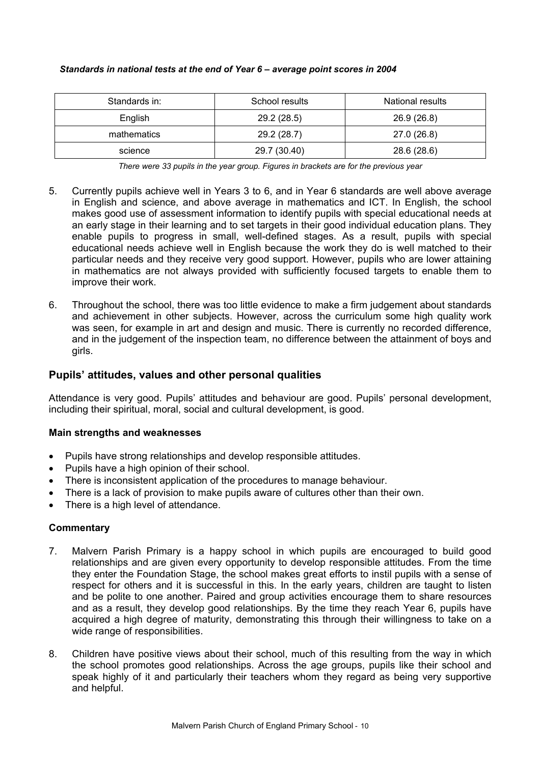#### *Standards in national tests at the end of Year 6 – average point scores in 2004*

| Standards in: | School results | National results |
|---------------|----------------|------------------|
| English       | 29.2 (28.5)    | 26.9 (26.8)      |
| mathematics   | 29.2 (28.7)    | 27.0 (26.8)      |
| science       | 29.7 (30.40)   | 28.6 (28.6)      |

*There were 33 pupils in the year group. Figures in brackets are for the previous year* 

- 5. Currently pupils achieve well in Years 3 to 6, and in Year 6 standards are well above average in English and science, and above average in mathematics and ICT. In English, the school makes good use of assessment information to identify pupils with special educational needs at an early stage in their learning and to set targets in their good individual education plans. They enable pupils to progress in small, well-defined stages. As a result, pupils with special educational needs achieve well in English because the work they do is well matched to their particular needs and they receive very good support. However, pupils who are lower attaining in mathematics are not always provided with sufficiently focused targets to enable them to improve their work.
- 6. Throughout the school, there was too little evidence to make a firm judgement about standards and achievement in other subjects. However, across the curriculum some high quality work was seen, for example in art and design and music. There is currently no recorded difference, and in the judgement of the inspection team, no difference between the attainment of boys and girls.

## **Pupils' attitudes, values and other personal qualities**

Attendance is very good. Pupils' attitudes and behaviour are good. Pupils' personal development, including their spiritual, moral, social and cultural development, is good.

## **Main strengths and weaknesses**

- Pupils have strong relationships and develop responsible attitudes.
- Pupils have a high opinion of their school.
- There is inconsistent application of the procedures to manage behaviour.
- There is a lack of provision to make pupils aware of cultures other than their own.
- There is a high level of attendance.

## **Commentary**

- 7. Malvern Parish Primary is a happy school in which pupils are encouraged to build good relationships and are given every opportunity to develop responsible attitudes. From the time they enter the Foundation Stage, the school makes great efforts to instil pupils with a sense of respect for others and it is successful in this. In the early years, children are taught to listen and be polite to one another. Paired and group activities encourage them to share resources and as a result, they develop good relationships. By the time they reach Year 6, pupils have acquired a high degree of maturity, demonstrating this through their willingness to take on a wide range of responsibilities.
- 8. Children have positive views about their school, much of this resulting from the way in which the school promotes good relationships. Across the age groups, pupils like their school and speak highly of it and particularly their teachers whom they regard as being very supportive and helpful.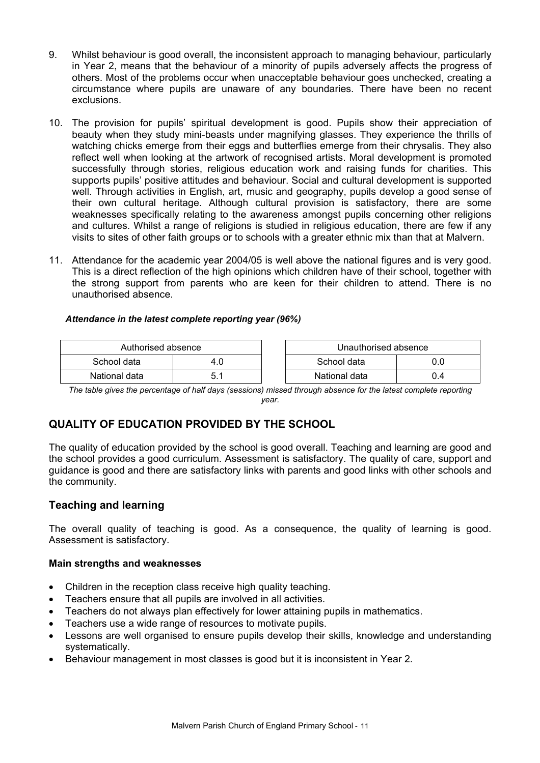- 9. Whilst behaviour is good overall, the inconsistent approach to managing behaviour, particularly in Year 2, means that the behaviour of a minority of pupils adversely affects the progress of others. Most of the problems occur when unacceptable behaviour goes unchecked, creating a circumstance where pupils are unaware of any boundaries. There have been no recent exclusions.
- 10. The provision for pupils' spiritual development is good. Pupils show their appreciation of beauty when they study mini-beasts under magnifying glasses. They experience the thrills of watching chicks emerge from their eggs and butterflies emerge from their chrysalis. They also reflect well when looking at the artwork of recognised artists. Moral development is promoted successfully through stories, religious education work and raising funds for charities. This supports pupils' positive attitudes and behaviour. Social and cultural development is supported well. Through activities in English, art, music and geography, pupils develop a good sense of their own cultural heritage. Although cultural provision is satisfactory, there are some weaknesses specifically relating to the awareness amongst pupils concerning other religions and cultures. Whilst a range of religions is studied in religious education, there are few if any visits to sites of other faith groups or to schools with a greater ethnic mix than that at Malvern.
- 11. Attendance for the academic year 2004/05 is well above the national figures and is very good. This is a direct reflection of the high opinions which children have of their school, together with the strong support from parents who are keen for their children to attend. There is no unauthorised absence.

#### *Attendance in the latest complete reporting year (96%)*

| Authorised absence |     | Unauthorised absence |     |
|--------------------|-----|----------------------|-----|
| School data        | 4.C | School data          |     |
| National data      |     | National data        | 0.4 |

*The table gives the percentage of half days (sessions) missed through absence for the latest complete reporting year.* 

# **QUALITY OF EDUCATION PROVIDED BY THE SCHOOL**

The quality of education provided by the school is good overall. Teaching and learning are good and the school provides a good curriculum. Assessment is satisfactory. The quality of care, support and guidance is good and there are satisfactory links with parents and good links with other schools and the community.

## **Teaching and learning**

The overall quality of teaching is good. As a consequence, the quality of learning is good. Assessment is satisfactory.

## **Main strengths and weaknesses**

- Children in the reception class receive high quality teaching.
- Teachers ensure that all pupils are involved in all activities.
- Teachers do not always plan effectively for lower attaining pupils in mathematics.
- Teachers use a wide range of resources to motivate pupils.
- Lessons are well organised to ensure pupils develop their skills, knowledge and understanding systematically.
- Behaviour management in most classes is good but it is inconsistent in Year 2.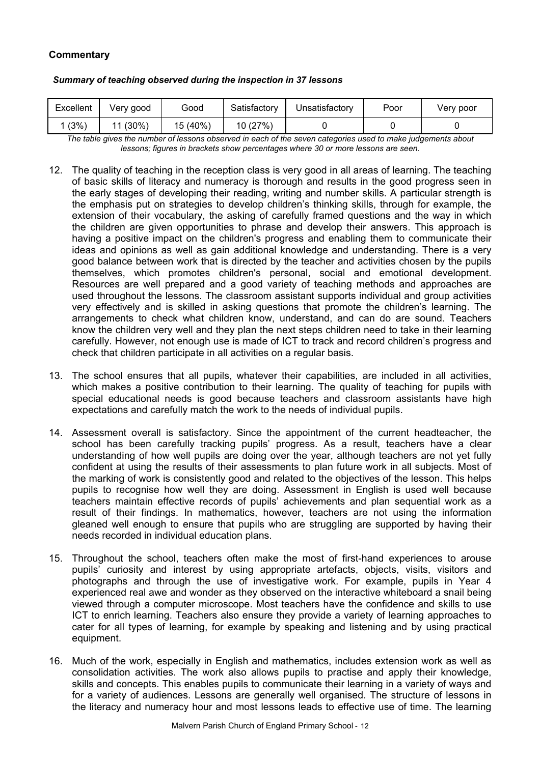## **Commentary**

| Excellent | Very good | Good     | Satisfactory | Unsatisfactory | Poor | Very poor |
|-----------|-----------|----------|--------------|----------------|------|-----------|
| (3%)      | 11 (30%)  | 15 (40%) | 10(27%)      |                |      |           |

#### *Summary of teaching observed during the inspection in 37 lessons*

*The table gives the number of lessons observed in each of the seven categories used to make judgements about lessons; figures in brackets show percentages where 30 or more lessons are seen.* 

- 12. The quality of teaching in the reception class is very good in all areas of learning. The teaching of basic skills of literacy and numeracy is thorough and results in the good progress seen in the early stages of developing their reading, writing and number skills. A particular strength is the emphasis put on strategies to develop children's thinking skills, through for example, the extension of their vocabulary, the asking of carefully framed questions and the way in which the children are given opportunities to phrase and develop their answers. This approach is having a positive impact on the children's progress and enabling them to communicate their ideas and opinions as well as gain additional knowledge and understanding. There is a very good balance between work that is directed by the teacher and activities chosen by the pupils themselves, which promotes children's personal, social and emotional development. Resources are well prepared and a good variety of teaching methods and approaches are used throughout the lessons. The classroom assistant supports individual and group activities very effectively and is skilled in asking questions that promote the children's learning. The arrangements to check what children know, understand, and can do are sound. Teachers know the children very well and they plan the next steps children need to take in their learning carefully. However, not enough use is made of ICT to track and record children's progress and check that children participate in all activities on a regular basis.
- 13. The school ensures that all pupils, whatever their capabilities, are included in all activities, which makes a positive contribution to their learning. The quality of teaching for pupils with special educational needs is good because teachers and classroom assistants have high expectations and carefully match the work to the needs of individual pupils.
- 14. Assessment overall is satisfactory. Since the appointment of the current headteacher, the school has been carefully tracking pupils' progress. As a result, teachers have a clear understanding of how well pupils are doing over the year, although teachers are not yet fully confident at using the results of their assessments to plan future work in all subjects. Most of the marking of work is consistently good and related to the objectives of the lesson. This helps pupils to recognise how well they are doing. Assessment in English is used well because teachers maintain effective records of pupils' achievements and plan sequential work as a result of their findings. In mathematics, however, teachers are not using the information gleaned well enough to ensure that pupils who are struggling are supported by having their needs recorded in individual education plans.
- 15. Throughout the school, teachers often make the most of first-hand experiences to arouse pupils' curiosity and interest by using appropriate artefacts, objects, visits, visitors and photographs and through the use of investigative work. For example, pupils in Year 4 experienced real awe and wonder as they observed on the interactive whiteboard a snail being viewed through a computer microscope. Most teachers have the confidence and skills to use ICT to enrich learning. Teachers also ensure they provide a variety of learning approaches to cater for all types of learning, for example by speaking and listening and by using practical equipment.
- 16. Much of the work, especially in English and mathematics, includes extension work as well as consolidation activities. The work also allows pupils to practise and apply their knowledge, skills and concepts. This enables pupils to communicate their learning in a variety of ways and for a variety of audiences. Lessons are generally well organised. The structure of lessons in the literacy and numeracy hour and most lessons leads to effective use of time. The learning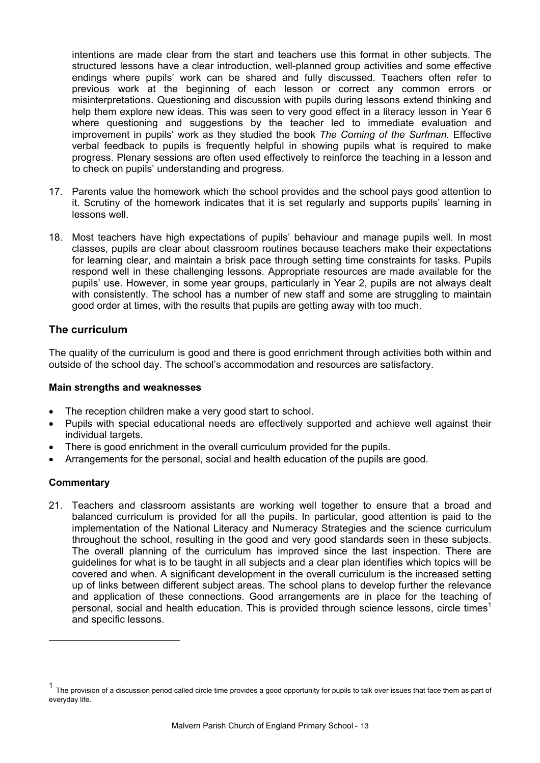intentions are made clear from the start and teachers use this format in other subjects. The structured lessons have a clear introduction, well-planned group activities and some effective endings where pupils' work can be shared and fully discussed. Teachers often refer to previous work at the beginning of each lesson or correct any common errors or misinterpretations. Questioning and discussion with pupils during lessons extend thinking and help them explore new ideas. This was seen to very good effect in a literacy lesson in Year 6 where questioning and suggestions by the teacher led to immediate evaluation and improvement in pupils' work as they studied the book *The Coming of the Surfman*. Effective verbal feedback to pupils is frequently helpful in showing pupils what is required to make progress. Plenary sessions are often used effectively to reinforce the teaching in a lesson and to check on pupils' understanding and progress.

- 17. Parents value the homework which the school provides and the school pays good attention to it. Scrutiny of the homework indicates that it is set regularly and supports pupils' learning in lessons well.
- 18. Most teachers have high expectations of pupils' behaviour and manage pupils well. In most classes, pupils are clear about classroom routines because teachers make their expectations for learning clear, and maintain a brisk pace through setting time constraints for tasks. Pupils respond well in these challenging lessons. Appropriate resources are made available for the pupils' use. However, in some year groups, particularly in Year 2, pupils are not always dealt with consistently. The school has a number of new staff and some are struggling to maintain good order at times, with the results that pupils are getting away with too much.

## **The curriculum**

The quality of the curriculum is good and there is good enrichment through activities both within and outside of the school day. The school's accommodation and resources are satisfactory.

## **Main strengths and weaknesses**

- The reception children make a very good start to school.
- Pupils with special educational needs are effectively supported and achieve well against their individual targets.
- There is good enrichment in the overall curriculum provided for the pupils.
- Arrangements for the personal, social and health education of the pupils are good.

## **Commentary**

l

21. Teachers and classroom assistants are working well together to ensure that a broad and balanced curriculum is provided for all the pupils. In particular, good attention is paid to the implementation of the National Literacy and Numeracy Strategies and the science curriculum throughout the school, resulting in the good and very good standards seen in these subjects. The overall planning of the curriculum has improved since the last inspection. There are guidelines for what is to be taught in all subjects and a clear plan identifies which topics will be covered and when. A significant development in the overall curriculum is the increased setting up of links between different subject areas. The school plans to develop further the relevance and application of these connections. Good arrangements are in place for the teaching of personal, social and health education. This is provided through science lessons, circle times<sup>1</sup> and specific lessons.

<sup>1</sup> The provision of a discussion period called circle time provides a good opportunity for pupils to talk over issues that face them as part of everyday life.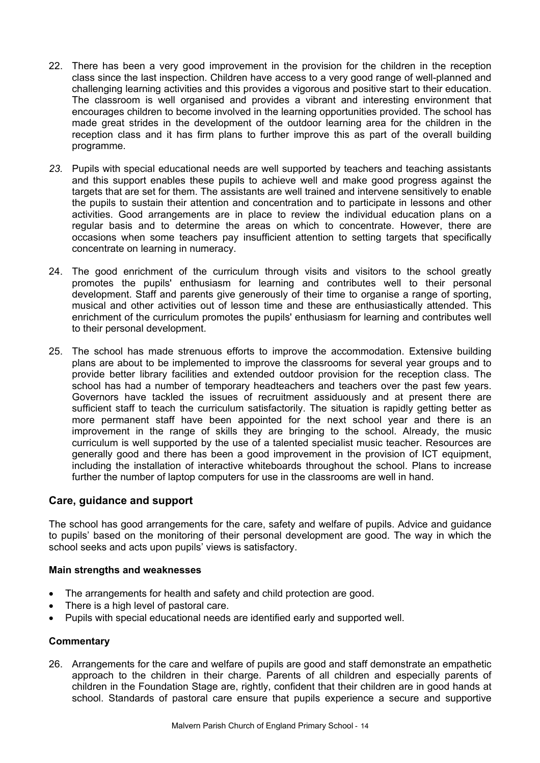- 22. There has been a very good improvement in the provision for the children in the reception class since the last inspection. Children have access to a very good range of well-planned and challenging learning activities and this provides a vigorous and positive start to their education. The classroom is well organised and provides a vibrant and interesting environment that encourages children to become involved in the learning opportunities provided. The school has made great strides in the development of the outdoor learning area for the children in the reception class and it has firm plans to further improve this as part of the overall building programme.
- *23.* Pupils with special educational needs are well supported by teachers and teaching assistants and this support enables these pupils to achieve well and make good progress against the targets that are set for them. The assistants are well trained and intervene sensitively to enable the pupils to sustain their attention and concentration and to participate in lessons and other activities. Good arrangements are in place to review the individual education plans on a regular basis and to determine the areas on which to concentrate. However, there are occasions when some teachers pay insufficient attention to setting targets that specifically concentrate on learning in numeracy.
- 24. The good enrichment of the curriculum through visits and visitors to the school greatly promotes the pupils' enthusiasm for learning and contributes well to their personal development. Staff and parents give generously of their time to organise a range of sporting. musical and other activities out of lesson time and these are enthusiastically attended. This enrichment of the curriculum promotes the pupils' enthusiasm for learning and contributes well to their personal development.
- 25. The school has made strenuous efforts to improve the accommodation. Extensive building plans are about to be implemented to improve the classrooms for several year groups and to provide better library facilities and extended outdoor provision for the reception class. The school has had a number of temporary headteachers and teachers over the past few years. Governors have tackled the issues of recruitment assiduously and at present there are sufficient staff to teach the curriculum satisfactorily. The situation is rapidly getting better as more permanent staff have been appointed for the next school year and there is an improvement in the range of skills they are bringing to the school. Already, the music curriculum is well supported by the use of a talented specialist music teacher. Resources are generally good and there has been a good improvement in the provision of ICT equipment, including the installation of interactive whiteboards throughout the school. Plans to increase further the number of laptop computers for use in the classrooms are well in hand.

## **Care, guidance and support**

The school has good arrangements for the care, safety and welfare of pupils. Advice and guidance to pupils' based on the monitoring of their personal development are good. The way in which the school seeks and acts upon pupils' views is satisfactory.

## **Main strengths and weaknesses**

- The arrangements for health and safety and child protection are good.
- There is a high level of pastoral care.
- Pupils with special educational needs are identified early and supported well.

#### **Commentary**

26. Arrangements for the care and welfare of pupils are good and staff demonstrate an empathetic approach to the children in their charge. Parents of all children and especially parents of children in the Foundation Stage are, rightly, confident that their children are in good hands at school. Standards of pastoral care ensure that pupils experience a secure and supportive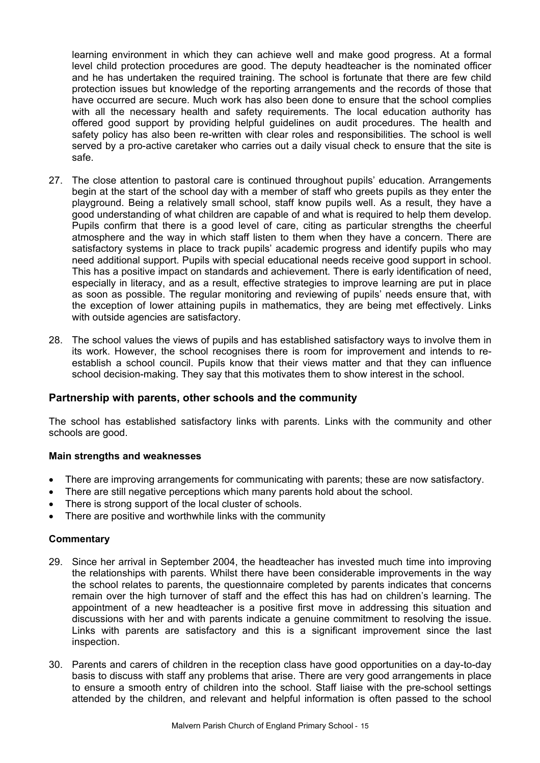learning environment in which they can achieve well and make good progress. At a formal level child protection procedures are good. The deputy headteacher is the nominated officer and he has undertaken the required training. The school is fortunate that there are few child protection issues but knowledge of the reporting arrangements and the records of those that have occurred are secure. Much work has also been done to ensure that the school complies with all the necessary health and safety requirements. The local education authority has offered good support by providing helpful guidelines on audit procedures. The health and safety policy has also been re-written with clear roles and responsibilities. The school is well served by a pro-active caretaker who carries out a daily visual check to ensure that the site is safe.

- 27. The close attention to pastoral care is continued throughout pupils' education. Arrangements begin at the start of the school day with a member of staff who greets pupils as they enter the playground. Being a relatively small school, staff know pupils well. As a result, they have a good understanding of what children are capable of and what is required to help them develop. Pupils confirm that there is a good level of care, citing as particular strengths the cheerful atmosphere and the way in which staff listen to them when they have a concern. There are satisfactory systems in place to track pupils' academic progress and identify pupils who may need additional support. Pupils with special educational needs receive good support in school. This has a positive impact on standards and achievement. There is early identification of need, especially in literacy, and as a result, effective strategies to improve learning are put in place as soon as possible. The regular monitoring and reviewing of pupils' needs ensure that, with the exception of lower attaining pupils in mathematics, they are being met effectively. Links with outside agencies are satisfactory.
- 28. The school values the views of pupils and has established satisfactory ways to involve them in its work. However, the school recognises there is room for improvement and intends to reestablish a school council. Pupils know that their views matter and that they can influence school decision-making. They say that this motivates them to show interest in the school.

## **Partnership with parents, other schools and the community**

The school has established satisfactory links with parents. Links with the community and other schools are good.

## **Main strengths and weaknesses**

- There are improving arrangements for communicating with parents; these are now satisfactory.
- There are still negative perceptions which many parents hold about the school.
- There is strong support of the local cluster of schools.
- There are positive and worthwhile links with the community

#### **Commentary**

- 29. Since her arrival in September 2004, the headteacher has invested much time into improving the relationships with parents. Whilst there have been considerable improvements in the way the school relates to parents, the questionnaire completed by parents indicates that concerns remain over the high turnover of staff and the effect this has had on children's learning. The appointment of a new headteacher is a positive first move in addressing this situation and discussions with her and with parents indicate a genuine commitment to resolving the issue. Links with parents are satisfactory and this is a significant improvement since the last inspection.
- 30. Parents and carers of children in the reception class have good opportunities on a day-to-day basis to discuss with staff any problems that arise. There are very good arrangements in place to ensure a smooth entry of children into the school. Staff liaise with the pre-school settings attended by the children, and relevant and helpful information is often passed to the school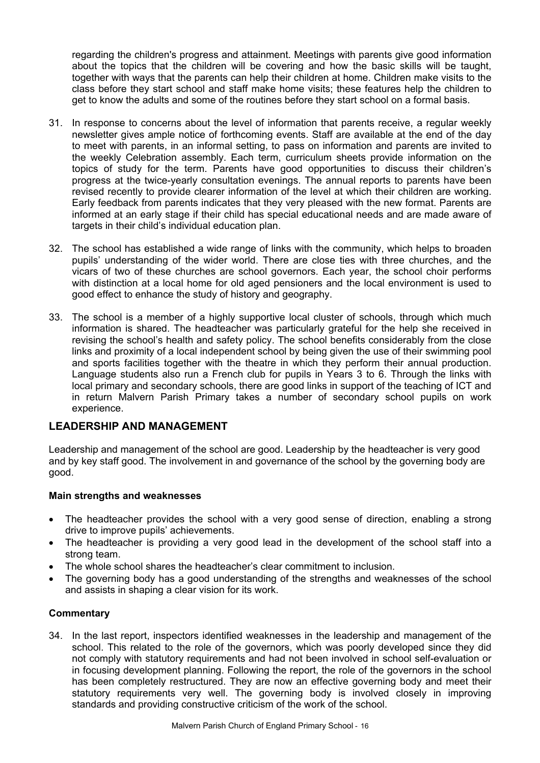regarding the children's progress and attainment. Meetings with parents give good information about the topics that the children will be covering and how the basic skills will be taught, together with ways that the parents can help their children at home. Children make visits to the class before they start school and staff make home visits; these features help the children to get to know the adults and some of the routines before they start school on a formal basis.

- 31. In response to concerns about the level of information that parents receive, a regular weekly newsletter gives ample notice of forthcoming events. Staff are available at the end of the day to meet with parents, in an informal setting, to pass on information and parents are invited to the weekly Celebration assembly. Each term, curriculum sheets provide information on the topics of study for the term. Parents have good opportunities to discuss their children's progress at the twice-yearly consultation evenings. The annual reports to parents have been revised recently to provide clearer information of the level at which their children are working. Early feedback from parents indicates that they very pleased with the new format. Parents are informed at an early stage if their child has special educational needs and are made aware of targets in their child's individual education plan.
- 32. The school has established a wide range of links with the community, which helps to broaden pupils' understanding of the wider world. There are close ties with three churches, and the vicars of two of these churches are school governors. Each year, the school choir performs with distinction at a local home for old aged pensioners and the local environment is used to good effect to enhance the study of history and geography.
- 33. The school is a member of a highly supportive local cluster of schools, through which much information is shared. The headteacher was particularly grateful for the help she received in revising the school's health and safety policy. The school benefits considerably from the close links and proximity of a local independent school by being given the use of their swimming pool and sports facilities together with the theatre in which they perform their annual production. Language students also run a French club for pupils in Years 3 to 6. Through the links with local primary and secondary schools, there are good links in support of the teaching of ICT and in return Malvern Parish Primary takes a number of secondary school pupils on work experience.

## **LEADERSHIP AND MANAGEMENT**

Leadership and management of the school are good. Leadership by the headteacher is very good and by key staff good. The involvement in and governance of the school by the governing body are good.

## **Main strengths and weaknesses**

- The headteacher provides the school with a very good sense of direction, enabling a strong drive to improve pupils' achievements.
- The headteacher is providing a very good lead in the development of the school staff into a strong team.
- The whole school shares the headteacher's clear commitment to inclusion.
- The governing body has a good understanding of the strengths and weaknesses of the school and assists in shaping a clear vision for its work.

## **Commentary**

34. In the last report, inspectors identified weaknesses in the leadership and management of the school. This related to the role of the governors, which was poorly developed since they did not comply with statutory requirements and had not been involved in school self-evaluation or in focusing development planning. Following the report, the role of the governors in the school has been completely restructured. They are now an effective governing body and meet their statutory requirements very well. The governing body is involved closely in improving standards and providing constructive criticism of the work of the school.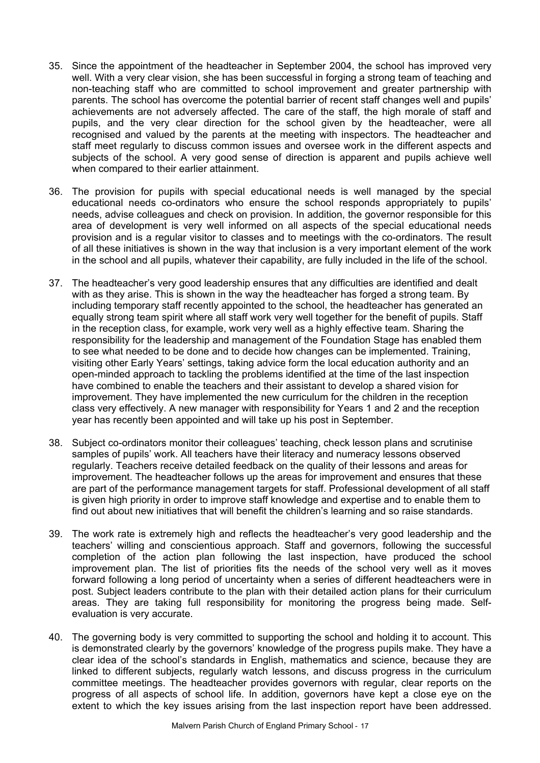- 35. Since the appointment of the headteacher in September 2004, the school has improved very well. With a very clear vision, she has been successful in forging a strong team of teaching and non-teaching staff who are committed to school improvement and greater partnership with parents. The school has overcome the potential barrier of recent staff changes well and pupils' achievements are not adversely affected. The care of the staff, the high morale of staff and pupils, and the very clear direction for the school given by the headteacher, were all recognised and valued by the parents at the meeting with inspectors. The headteacher and staff meet regularly to discuss common issues and oversee work in the different aspects and subjects of the school. A very good sense of direction is apparent and pupils achieve well when compared to their earlier attainment.
- 36. The provision for pupils with special educational needs is well managed by the special educational needs co-ordinators who ensure the school responds appropriately to pupils' needs, advise colleagues and check on provision. In addition, the governor responsible for this area of development is very well informed on all aspects of the special educational needs provision and is a regular visitor to classes and to meetings with the co-ordinators. The result of all these initiatives is shown in the way that inclusion is a very important element of the work in the school and all pupils, whatever their capability, are fully included in the life of the school.
- 37. The headteacher's very good leadership ensures that any difficulties are identified and dealt with as they arise. This is shown in the way the headteacher has forged a strong team. By including temporary staff recently appointed to the school, the headteacher has generated an equally strong team spirit where all staff work very well together for the benefit of pupils. Staff in the reception class, for example, work very well as a highly effective team. Sharing the responsibility for the leadership and management of the Foundation Stage has enabled them to see what needed to be done and to decide how changes can be implemented. Training, visiting other Early Years' settings, taking advice form the local education authority and an open-minded approach to tackling the problems identified at the time of the last inspection have combined to enable the teachers and their assistant to develop a shared vision for improvement. They have implemented the new curriculum for the children in the reception class very effectively. A new manager with responsibility for Years 1 and 2 and the reception year has recently been appointed and will take up his post in September.
- 38. Subject co-ordinators monitor their colleagues' teaching, check lesson plans and scrutinise samples of pupils' work. All teachers have their literacy and numeracy lessons observed regularly. Teachers receive detailed feedback on the quality of their lessons and areas for improvement. The headteacher follows up the areas for improvement and ensures that these are part of the performance management targets for staff. Professional development of all staff is given high priority in order to improve staff knowledge and expertise and to enable them to find out about new initiatives that will benefit the children's learning and so raise standards.
- 39. The work rate is extremely high and reflects the headteacher's very good leadership and the teachers' willing and conscientious approach. Staff and governors, following the successful completion of the action plan following the last inspection, have produced the school improvement plan. The list of priorities fits the needs of the school very well as it moves forward following a long period of uncertainty when a series of different headteachers were in post. Subject leaders contribute to the plan with their detailed action plans for their curriculum areas. They are taking full responsibility for monitoring the progress being made. Selfevaluation is very accurate.
- 40. The governing body is very committed to supporting the school and holding it to account. This is demonstrated clearly by the governors' knowledge of the progress pupils make. They have a clear idea of the school's standards in English, mathematics and science, because they are linked to different subjects, regularly watch lessons, and discuss progress in the curriculum committee meetings. The headteacher provides governors with regular, clear reports on the progress of all aspects of school life. In addition, governors have kept a close eye on the extent to which the key issues arising from the last inspection report have been addressed.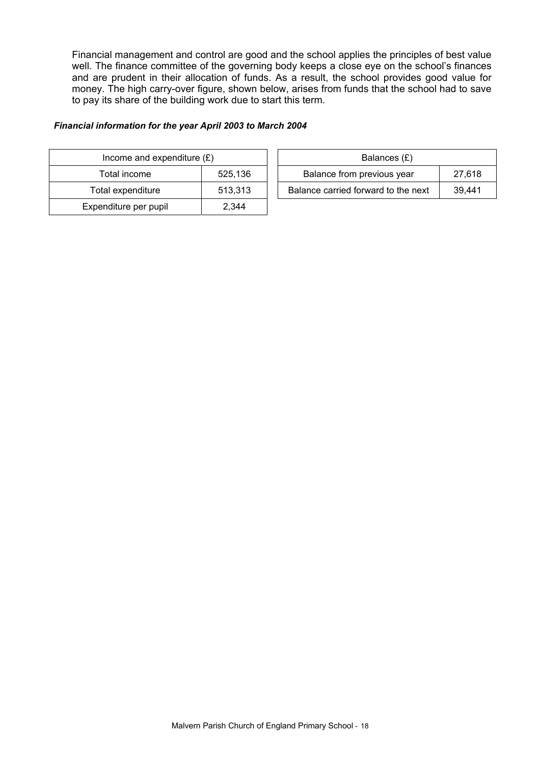Financial management and control are good and the school applies the principles of best value well. The finance committee of the governing body keeps a close eye on the school's finances and are prudent in their allocation of funds. As a result, the school provides good value for money. The high carry-over figure, shown below, arises from funds that the school had to save to pay its share of the building work due to start this term.

#### *Financial information for the year April 2003 to March 2004*

| Income and expenditure $(E)$ |                       | Balances (£) |                                     |        |
|------------------------------|-----------------------|--------------|-------------------------------------|--------|
|                              | Total income          | 525.136      | Balance from previous year          | 27.618 |
|                              | Total expenditure     | 513.313      | Balance carried forward to the next | 39.441 |
|                              | Expenditure per pupil | 2,344        |                                     |        |

| Balances (£)                        |        |
|-------------------------------------|--------|
| Balance from previous year          | 27,618 |
| Balance carried forward to the next | 39.441 |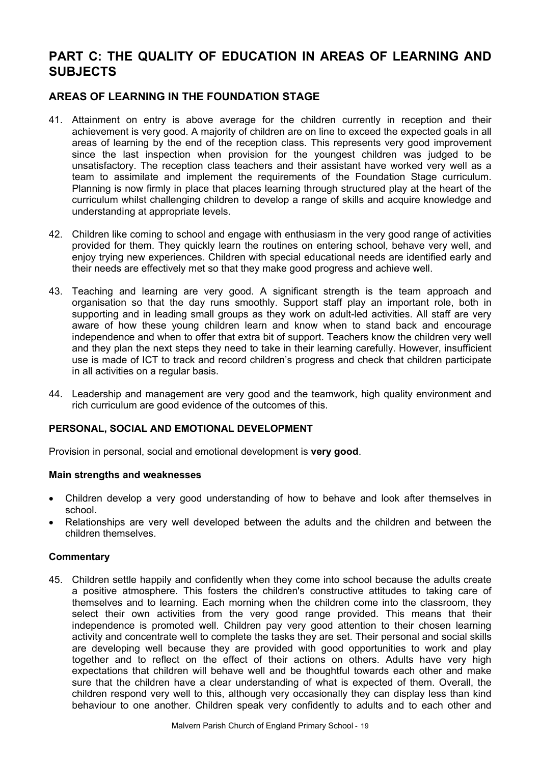# **PART C: THE QUALITY OF EDUCATION IN AREAS OF LEARNING AND SUBJECTS**

## **AREAS OF LEARNING IN THE FOUNDATION STAGE**

- 41. Attainment on entry is above average for the children currently in reception and their achievement is very good. A majority of children are on line to exceed the expected goals in all areas of learning by the end of the reception class. This represents very good improvement since the last inspection when provision for the youngest children was judged to be unsatisfactory. The reception class teachers and their assistant have worked very well as a team to assimilate and implement the requirements of the Foundation Stage curriculum. Planning is now firmly in place that places learning through structured play at the heart of the curriculum whilst challenging children to develop a range of skills and acquire knowledge and understanding at appropriate levels.
- 42. Children like coming to school and engage with enthusiasm in the very good range of activities provided for them. They quickly learn the routines on entering school, behave very well, and enjoy trying new experiences. Children with special educational needs are identified early and their needs are effectively met so that they make good progress and achieve well.
- 43. Teaching and learning are very good. A significant strength is the team approach and organisation so that the day runs smoothly. Support staff play an important role, both in supporting and in leading small groups as they work on adult-led activities. All staff are very aware of how these young children learn and know when to stand back and encourage independence and when to offer that extra bit of support. Teachers know the children very well and they plan the next steps they need to take in their learning carefully. However, insufficient use is made of ICT to track and record children's progress and check that children participate in all activities on a regular basis.
- 44. Leadership and management are very good and the teamwork, high quality environment and rich curriculum are good evidence of the outcomes of this.

## **PERSONAL, SOCIAL AND EMOTIONAL DEVELOPMENT**

Provision in personal, social and emotional development is **very good**.

#### **Main strengths and weaknesses**

- Children develop a very good understanding of how to behave and look after themselves in school.
- Relationships are very well developed between the adults and the children and between the children themselves.

#### **Commentary**

45. Children settle happily and confidently when they come into school because the adults create a positive atmosphere. This fosters the children's constructive attitudes to taking care of themselves and to learning. Each morning when the children come into the classroom, they select their own activities from the very good range provided. This means that their independence is promoted well. Children pay very good attention to their chosen learning activity and concentrate well to complete the tasks they are set. Their personal and social skills are developing well because they are provided with good opportunities to work and play together and to reflect on the effect of their actions on others. Adults have very high expectations that children will behave well and be thoughtful towards each other and make sure that the children have a clear understanding of what is expected of them. Overall, the children respond very well to this, although very occasionally they can display less than kind behaviour to one another. Children speak very confidently to adults and to each other and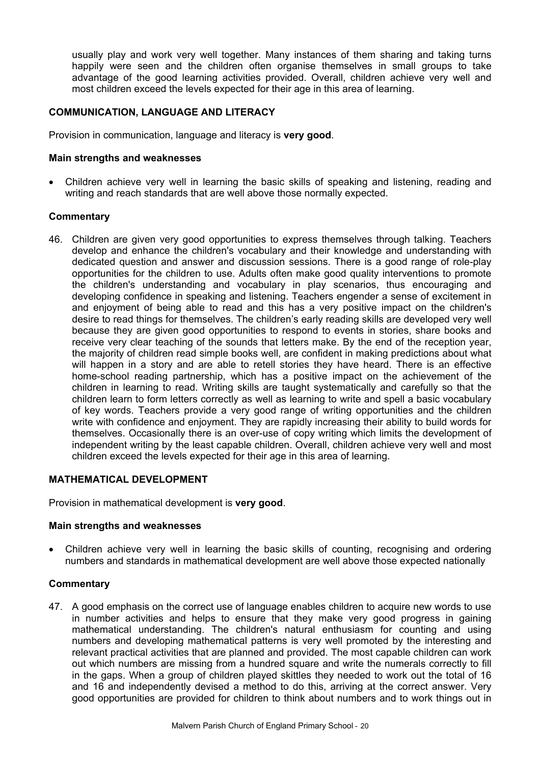usually play and work very well together. Many instances of them sharing and taking turns happily were seen and the children often organise themselves in small groups to take advantage of the good learning activities provided. Overall, children achieve very well and most children exceed the levels expected for their age in this area of learning.

## **COMMUNICATION, LANGUAGE AND LITERACY**

Provision in communication, language and literacy is **very good**.

#### **Main strengths and weaknesses**

• Children achieve very well in learning the basic skills of speaking and listening, reading and writing and reach standards that are well above those normally expected.

#### **Commentary**

46. Children are given very good opportunities to express themselves through talking. Teachers develop and enhance the children's vocabulary and their knowledge and understanding with dedicated question and answer and discussion sessions. There is a good range of role-play opportunities for the children to use. Adults often make good quality interventions to promote the children's understanding and vocabulary in play scenarios, thus encouraging and developing confidence in speaking and listening. Teachers engender a sense of excitement in and enjoyment of being able to read and this has a very positive impact on the children's desire to read things for themselves. The children's early reading skills are developed very well because they are given good opportunities to respond to events in stories, share books and receive very clear teaching of the sounds that letters make. By the end of the reception year, the majority of children read simple books well, are confident in making predictions about what will happen in a story and are able to retell stories they have heard. There is an effective home-school reading partnership, which has a positive impact on the achievement of the children in learning to read. Writing skills are taught systematically and carefully so that the children learn to form letters correctly as well as learning to write and spell a basic vocabulary of key words. Teachers provide a very good range of writing opportunities and the children write with confidence and enjoyment. They are rapidly increasing their ability to build words for themselves. Occasionally there is an over-use of copy writing which limits the development of independent writing by the least capable children. Overall, children achieve very well and most children exceed the levels expected for their age in this area of learning.

#### **MATHEMATICAL DEVELOPMENT**

Provision in mathematical development is **very good**.

#### **Main strengths and weaknesses**

• Children achieve very well in learning the basic skills of counting, recognising and ordering numbers and standards in mathematical development are well above those expected nationally

## **Commentary**

47. A good emphasis on the correct use of language enables children to acquire new words to use in number activities and helps to ensure that they make very good progress in gaining mathematical understanding. The children's natural enthusiasm for counting and using numbers and developing mathematical patterns is very well promoted by the interesting and relevant practical activities that are planned and provided. The most capable children can work out which numbers are missing from a hundred square and write the numerals correctly to fill in the gaps. When a group of children played skittles they needed to work out the total of 16 and 16 and independently devised a method to do this, arriving at the correct answer. Very good opportunities are provided for children to think about numbers and to work things out in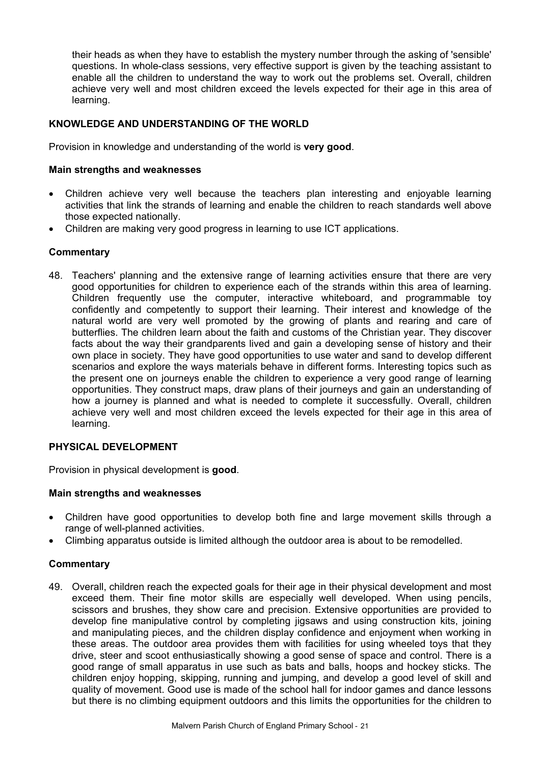their heads as when they have to establish the mystery number through the asking of 'sensible' questions. In whole-class sessions, very effective support is given by the teaching assistant to enable all the children to understand the way to work out the problems set. Overall, children achieve very well and most children exceed the levels expected for their age in this area of learning.

## **KNOWLEDGE AND UNDERSTANDING OF THE WORLD**

Provision in knowledge and understanding of the world is **very good**.

#### **Main strengths and weaknesses**

- Children achieve very well because the teachers plan interesting and enjoyable learning activities that link the strands of learning and enable the children to reach standards well above those expected nationally.
- Children are making very good progress in learning to use ICT applications.

#### **Commentary**

48. Teachers' planning and the extensive range of learning activities ensure that there are very good opportunities for children to experience each of the strands within this area of learning. Children frequently use the computer, interactive whiteboard, and programmable toy confidently and competently to support their learning. Their interest and knowledge of the natural world are very well promoted by the growing of plants and rearing and care of butterflies. The children learn about the faith and customs of the Christian year. They discover facts about the way their grandparents lived and gain a developing sense of history and their own place in society. They have good opportunities to use water and sand to develop different scenarios and explore the ways materials behave in different forms. Interesting topics such as the present one on journeys enable the children to experience a very good range of learning opportunities. They construct maps, draw plans of their journeys and gain an understanding of how a journey is planned and what is needed to complete it successfully. Overall, children achieve very well and most children exceed the levels expected for their age in this area of learning.

#### **PHYSICAL DEVELOPMENT**

Provision in physical development is **good**.

#### **Main strengths and weaknesses**

- Children have good opportunities to develop both fine and large movement skills through a range of well-planned activities.
- Climbing apparatus outside is limited although the outdoor area is about to be remodelled.

#### **Commentary**

49. Overall, children reach the expected goals for their age in their physical development and most exceed them. Their fine motor skills are especially well developed. When using pencils, scissors and brushes, they show care and precision. Extensive opportunities are provided to develop fine manipulative control by completing jigsaws and using construction kits, joining and manipulating pieces, and the children display confidence and enjoyment when working in these areas. The outdoor area provides them with facilities for using wheeled toys that they drive, steer and scoot enthusiastically showing a good sense of space and control. There is a good range of small apparatus in use such as bats and balls, hoops and hockey sticks. The children enjoy hopping, skipping, running and jumping, and develop a good level of skill and quality of movement. Good use is made of the school hall for indoor games and dance lessons but there is no climbing equipment outdoors and this limits the opportunities for the children to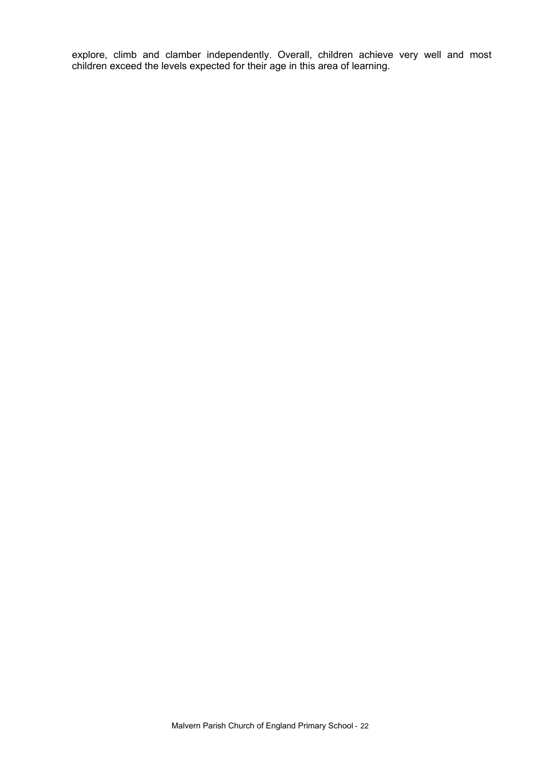explore, climb and clamber independently. Overall, children achieve very well and most children exceed the levels expected for their age in this area of learning.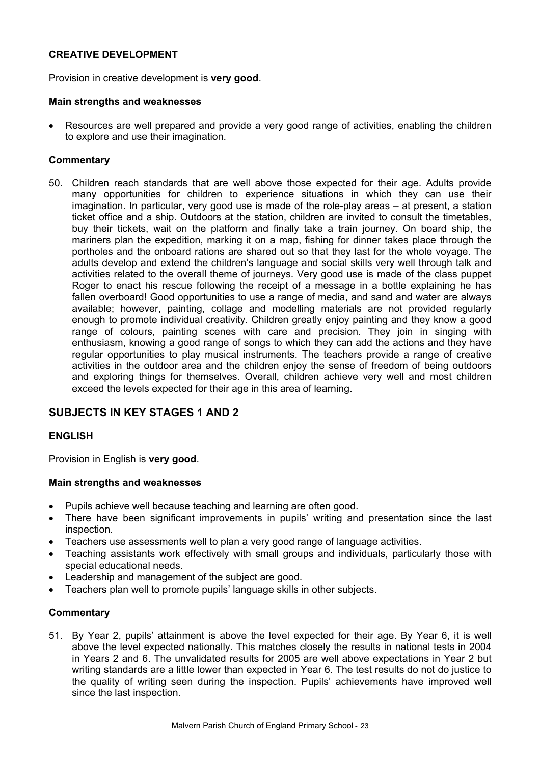## **CREATIVE DEVELOPMENT**

Provision in creative development is **very good**.

#### **Main strengths and weaknesses**

• Resources are well prepared and provide a very good range of activities, enabling the children to explore and use their imagination.

## **Commentary**

50. Children reach standards that are well above those expected for their age. Adults provide many opportunities for children to experience situations in which they can use their imagination. In particular, very good use is made of the role-play areas – at present, a station ticket office and a ship. Outdoors at the station, children are invited to consult the timetables, buy their tickets, wait on the platform and finally take a train journey. On board ship, the mariners plan the expedition, marking it on a map, fishing for dinner takes place through the portholes and the onboard rations are shared out so that they last for the whole voyage. The adults develop and extend the children's language and social skills very well through talk and activities related to the overall theme of journeys. Very good use is made of the class puppet Roger to enact his rescue following the receipt of a message in a bottle explaining he has fallen overboard! Good opportunities to use a range of media, and sand and water are always available; however, painting, collage and modelling materials are not provided regularly enough to promote individual creativity. Children greatly enjoy painting and they know a good range of colours, painting scenes with care and precision. They join in singing with enthusiasm, knowing a good range of songs to which they can add the actions and they have regular opportunities to play musical instruments. The teachers provide a range of creative activities in the outdoor area and the children enjoy the sense of freedom of being outdoors and exploring things for themselves. Overall, children achieve very well and most children exceed the levels expected for their age in this area of learning.

## **SUBJECTS IN KEY STAGES 1 AND 2**

## **ENGLISH**

Provision in English is **very good**.

#### **Main strengths and weaknesses**

- Pupils achieve well because teaching and learning are often good.
- There have been significant improvements in pupils' writing and presentation since the last inspection.
- Teachers use assessments well to plan a very good range of language activities.
- Teaching assistants work effectively with small groups and individuals, particularly those with special educational needs.
- Leadership and management of the subject are good.
- Teachers plan well to promote pupils' language skills in other subjects.

## **Commentary**

51. By Year 2, pupils' attainment is above the level expected for their age. By Year 6, it is well above the level expected nationally. This matches closely the results in national tests in 2004 in Years 2 and 6. The unvalidated results for 2005 are well above expectations in Year 2 but writing standards are a little lower than expected in Year 6. The test results do not do justice to the quality of writing seen during the inspection. Pupils' achievements have improved well since the last inspection.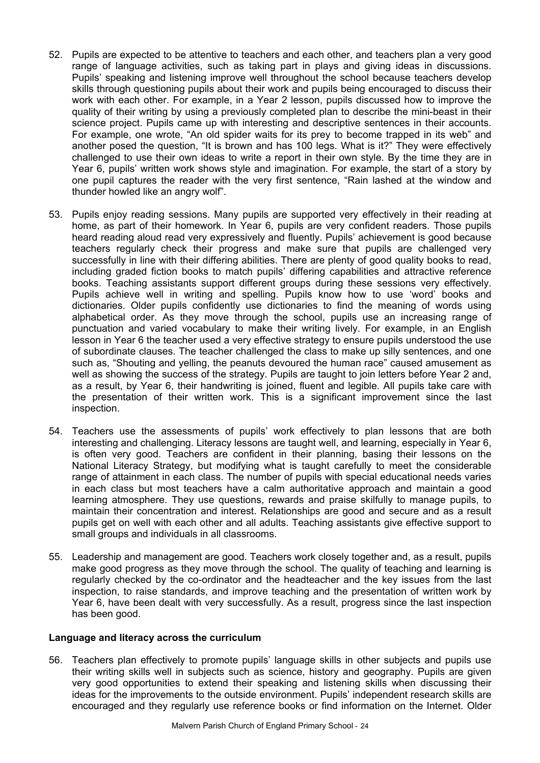- 52. Pupils are expected to be attentive to teachers and each other, and teachers plan a very good range of language activities, such as taking part in plays and giving ideas in discussions. Pupils' speaking and listening improve well throughout the school because teachers develop skills through questioning pupils about their work and pupils being encouraged to discuss their work with each other. For example, in a Year 2 lesson, pupils discussed how to improve the quality of their writing by using a previously completed plan to describe the mini-beast in their science project. Pupils came up with interesting and descriptive sentences in their accounts. For example, one wrote, "An old spider waits for its prey to become trapped in its web" and another posed the question, "It is brown and has 100 legs. What is it?" They were effectively challenged to use their own ideas to write a report in their own style. By the time they are in Year 6, pupils' written work shows style and imagination. For example, the start of a story by one pupil captures the reader with the very first sentence, "Rain lashed at the window and thunder howled like an angry wolf".
- 53. Pupils enjoy reading sessions. Many pupils are supported very effectively in their reading at home, as part of their homework. In Year 6, pupils are very confident readers. Those pupils heard reading aloud read very expressively and fluently. Pupils' achievement is good because teachers regularly check their progress and make sure that pupils are challenged very successfully in line with their differing abilities. There are plenty of good quality books to read, including graded fiction books to match pupils' differing capabilities and attractive reference books. Teaching assistants support different groups during these sessions very effectively. Pupils achieve well in writing and spelling. Pupils know how to use 'word' books and dictionaries. Older pupils confidently use dictionaries to find the meaning of words using alphabetical order. As they move through the school, pupils use an increasing range of punctuation and varied vocabulary to make their writing lively. For example, in an English lesson in Year 6 the teacher used a very effective strategy to ensure pupils understood the use of subordinate clauses. The teacher challenged the class to make up silly sentences, and one such as, "Shouting and yelling, the peanuts devoured the human race" caused amusement as well as showing the success of the strategy. Pupils are taught to join letters before Year 2 and, as a result, by Year 6, their handwriting is joined, fluent and legible. All pupils take care with the presentation of their written work. This is a significant improvement since the last inspection.
- 54. Teachers use the assessments of pupils' work effectively to plan lessons that are both interesting and challenging. Literacy lessons are taught well, and learning, especially in Year 6, is often very good. Teachers are confident in their planning, basing their lessons on the National Literacy Strategy, but modifying what is taught carefully to meet the considerable range of attainment in each class. The number of pupils with special educational needs varies in each class but most teachers have a calm authoritative approach and maintain a good learning atmosphere. They use questions, rewards and praise skilfully to manage pupils, to maintain their concentration and interest. Relationships are good and secure and as a result pupils get on well with each other and all adults. Teaching assistants give effective support to small groups and individuals in all classrooms.
- 55. Leadership and management are good. Teachers work closely together and, as a result, pupils make good progress as they move through the school. The quality of teaching and learning is regularly checked by the co-ordinator and the headteacher and the key issues from the last inspection, to raise standards, and improve teaching and the presentation of written work by Year 6, have been dealt with very successfully. As a result, progress since the last inspection has been good.

#### **Language and literacy across the curriculum**

56. Teachers plan effectively to promote pupils' language skills in other subjects and pupils use their writing skills well in subjects such as science, history and geography. Pupils are given very good opportunities to extend their speaking and listening skills when discussing their ideas for the improvements to the outside environment. Pupils' independent research skills are encouraged and they regularly use reference books or find information on the Internet. Older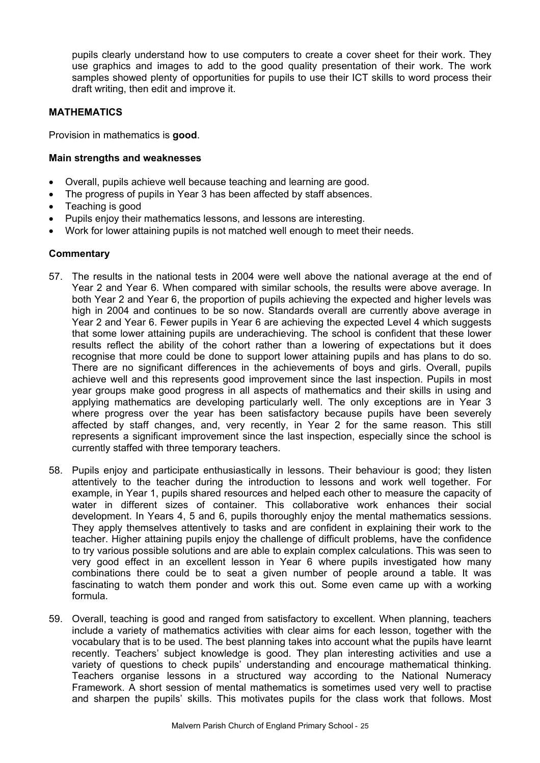pupils clearly understand how to use computers to create a cover sheet for their work. They use graphics and images to add to the good quality presentation of their work. The work samples showed plenty of opportunities for pupils to use their ICT skills to word process their draft writing, then edit and improve it.

## **MATHEMATICS**

Provision in mathematics is **good**.

## **Main strengths and weaknesses**

- Overall, pupils achieve well because teaching and learning are good.
- The progress of pupils in Year 3 has been affected by staff absences.
- Teaching is good
- Pupils enjoy their mathematics lessons, and lessons are interesting.
- Work for lower attaining pupils is not matched well enough to meet their needs.

## **Commentary**

- 57. The results in the national tests in 2004 were well above the national average at the end of Year 2 and Year 6. When compared with similar schools, the results were above average. In both Year 2 and Year 6, the proportion of pupils achieving the expected and higher levels was high in 2004 and continues to be so now. Standards overall are currently above average in Year 2 and Year 6. Fewer pupils in Year 6 are achieving the expected Level 4 which suggests that some lower attaining pupils are underachieving. The school is confident that these lower results reflect the ability of the cohort rather than a lowering of expectations but it does recognise that more could be done to support lower attaining pupils and has plans to do so. There are no significant differences in the achievements of boys and girls. Overall, pupils achieve well and this represents good improvement since the last inspection. Pupils in most year groups make good progress in all aspects of mathematics and their skills in using and applying mathematics are developing particularly well. The only exceptions are in Year 3 where progress over the year has been satisfactory because pupils have been severely affected by staff changes, and, very recently, in Year 2 for the same reason. This still represents a significant improvement since the last inspection, especially since the school is currently staffed with three temporary teachers.
- 58. Pupils enjoy and participate enthusiastically in lessons. Their behaviour is good; they listen attentively to the teacher during the introduction to lessons and work well together. For example, in Year 1, pupils shared resources and helped each other to measure the capacity of water in different sizes of container. This collaborative work enhances their social development. In Years 4, 5 and 6, pupils thoroughly enjoy the mental mathematics sessions. They apply themselves attentively to tasks and are confident in explaining their work to the teacher. Higher attaining pupils enjoy the challenge of difficult problems, have the confidence to try various possible solutions and are able to explain complex calculations. This was seen to very good effect in an excellent lesson in Year 6 where pupils investigated how many combinations there could be to seat a given number of people around a table. It was fascinating to watch them ponder and work this out. Some even came up with a working formula.
- 59. Overall, teaching is good and ranged from satisfactory to excellent. When planning, teachers include a variety of mathematics activities with clear aims for each lesson, together with the vocabulary that is to be used. The best planning takes into account what the pupils have learnt recently. Teachers' subject knowledge is good. They plan interesting activities and use a variety of questions to check pupils' understanding and encourage mathematical thinking. Teachers organise lessons in a structured way according to the National Numeracy Framework. A short session of mental mathematics is sometimes used very well to practise and sharpen the pupils' skills. This motivates pupils for the class work that follows. Most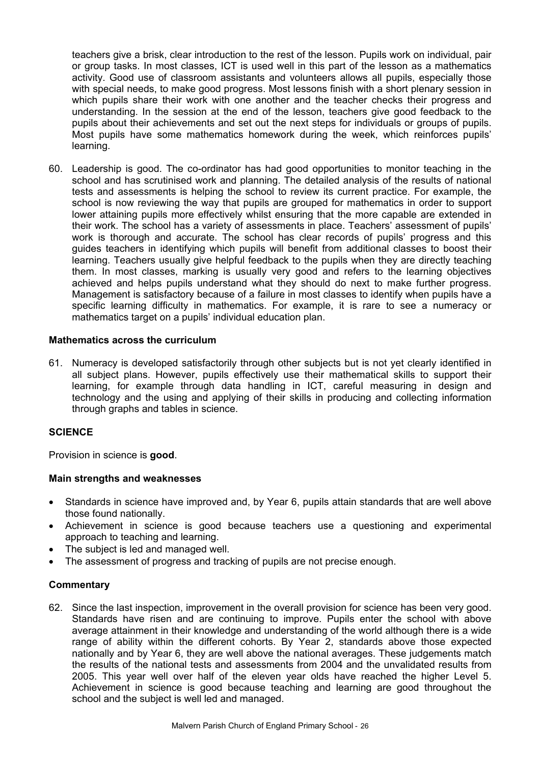teachers give a brisk, clear introduction to the rest of the lesson. Pupils work on individual, pair or group tasks. In most classes, ICT is used well in this part of the lesson as a mathematics activity. Good use of classroom assistants and volunteers allows all pupils, especially those with special needs, to make good progress. Most lessons finish with a short plenary session in which pupils share their work with one another and the teacher checks their progress and understanding. In the session at the end of the lesson, teachers give good feedback to the pupils about their achievements and set out the next steps for individuals or groups of pupils. Most pupils have some mathematics homework during the week, which reinforces pupils' learning.

60. Leadership is good. The co-ordinator has had good opportunities to monitor teaching in the school and has scrutinised work and planning. The detailed analysis of the results of national tests and assessments is helping the school to review its current practice. For example, the school is now reviewing the way that pupils are grouped for mathematics in order to support lower attaining pupils more effectively whilst ensuring that the more capable are extended in their work. The school has a variety of assessments in place. Teachers' assessment of pupils' work is thorough and accurate. The school has clear records of pupils' progress and this guides teachers in identifying which pupils will benefit from additional classes to boost their learning. Teachers usually give helpful feedback to the pupils when they are directly teaching them. In most classes, marking is usually very good and refers to the learning objectives achieved and helps pupils understand what they should do next to make further progress. Management is satisfactory because of a failure in most classes to identify when pupils have a specific learning difficulty in mathematics. For example, it is rare to see a numeracy or mathematics target on a pupils' individual education plan.

#### **Mathematics across the curriculum**

61. Numeracy is developed satisfactorily through other subjects but is not yet clearly identified in all subject plans. However, pupils effectively use their mathematical skills to support their learning, for example through data handling in ICT, careful measuring in design and technology and the using and applying of their skills in producing and collecting information through graphs and tables in science.

## **SCIENCE**

Provision in science is **good**.

#### **Main strengths and weaknesses**

- Standards in science have improved and, by Year 6, pupils attain standards that are well above those found nationally.
- Achievement in science is good because teachers use a questioning and experimental approach to teaching and learning.
- The subject is led and managed well.
- The assessment of progress and tracking of pupils are not precise enough.

#### **Commentary**

62. Since the last inspection, improvement in the overall provision for science has been very good. Standards have risen and are continuing to improve. Pupils enter the school with above average attainment in their knowledge and understanding of the world although there is a wide range of ability within the different cohorts. By Year 2, standards above those expected nationally and by Year 6, they are well above the national averages. These judgements match the results of the national tests and assessments from 2004 and the unvalidated results from 2005. This year well over half of the eleven year olds have reached the higher Level 5. Achievement in science is good because teaching and learning are good throughout the school and the subject is well led and managed.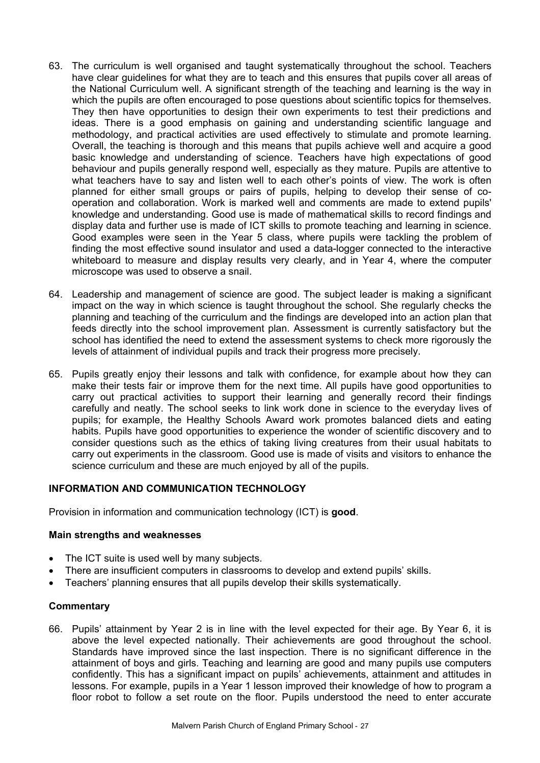- 63. The curriculum is well organised and taught systematically throughout the school. Teachers have clear guidelines for what they are to teach and this ensures that pupils cover all areas of the National Curriculum well. A significant strength of the teaching and learning is the way in which the pupils are often encouraged to pose questions about scientific topics for themselves. They then have opportunities to design their own experiments to test their predictions and ideas. There is a good emphasis on gaining and understanding scientific language and methodology, and practical activities are used effectively to stimulate and promote learning. Overall, the teaching is thorough and this means that pupils achieve well and acquire a good basic knowledge and understanding of science. Teachers have high expectations of good behaviour and pupils generally respond well, especially as they mature. Pupils are attentive to what teachers have to say and listen well to each other's points of view. The work is often planned for either small groups or pairs of pupils, helping to develop their sense of cooperation and collaboration. Work is marked well and comments are made to extend pupils' knowledge and understanding. Good use is made of mathematical skills to record findings and display data and further use is made of ICT skills to promote teaching and learning in science. Good examples were seen in the Year 5 class, where pupils were tackling the problem of finding the most effective sound insulator and used a data-logger connected to the interactive whiteboard to measure and display results very clearly, and in Year 4, where the computer microscope was used to observe a snail.
- 64. Leadership and management of science are good. The subject leader is making a significant impact on the way in which science is taught throughout the school. She regularly checks the planning and teaching of the curriculum and the findings are developed into an action plan that feeds directly into the school improvement plan. Assessment is currently satisfactory but the school has identified the need to extend the assessment systems to check more rigorously the levels of attainment of individual pupils and track their progress more precisely.
- 65. Pupils greatly enjoy their lessons and talk with confidence, for example about how they can make their tests fair or improve them for the next time. All pupils have good opportunities to carry out practical activities to support their learning and generally record their findings carefully and neatly. The school seeks to link work done in science to the everyday lives of pupils; for example, the Healthy Schools Award work promotes balanced diets and eating habits. Pupils have good opportunities to experience the wonder of scientific discovery and to consider questions such as the ethics of taking living creatures from their usual habitats to carry out experiments in the classroom. Good use is made of visits and visitors to enhance the science curriculum and these are much enjoyed by all of the pupils.

## **INFORMATION AND COMMUNICATION TECHNOLOGY**

Provision in information and communication technology (ICT) is **good**.

#### **Main strengths and weaknesses**

- The ICT suite is used well by many subjects.
- There are insufficient computers in classrooms to develop and extend pupils' skills.
- Teachers' planning ensures that all pupils develop their skills systematically.

#### **Commentary**

66. Pupils' attainment by Year 2 is in line with the level expected for their age. By Year 6, it is above the level expected nationally. Their achievements are good throughout the school. Standards have improved since the last inspection. There is no significant difference in the attainment of boys and girls. Teaching and learning are good and many pupils use computers confidently. This has a significant impact on pupils' achievements, attainment and attitudes in lessons. For example, pupils in a Year 1 lesson improved their knowledge of how to program a floor robot to follow a set route on the floor. Pupils understood the need to enter accurate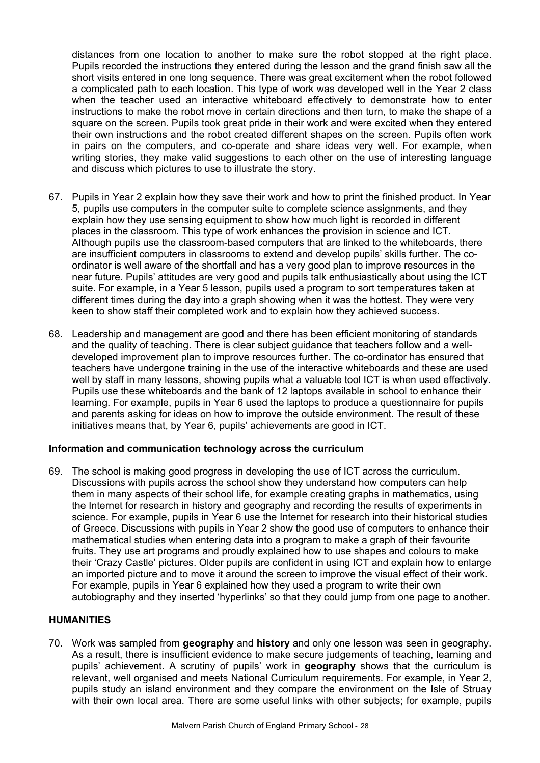distances from one location to another to make sure the robot stopped at the right place. Pupils recorded the instructions they entered during the lesson and the grand finish saw all the short visits entered in one long sequence. There was great excitement when the robot followed a complicated path to each location. This type of work was developed well in the Year 2 class when the teacher used an interactive whiteboard effectively to demonstrate how to enter instructions to make the robot move in certain directions and then turn, to make the shape of a square on the screen. Pupils took great pride in their work and were excited when they entered their own instructions and the robot created different shapes on the screen. Pupils often work in pairs on the computers, and co-operate and share ideas very well. For example, when writing stories, they make valid suggestions to each other on the use of interesting language and discuss which pictures to use to illustrate the story.

- 67. Pupils in Year 2 explain how they save their work and how to print the finished product. In Year 5, pupils use computers in the computer suite to complete science assignments, and they explain how they use sensing equipment to show how much light is recorded in different places in the classroom. This type of work enhances the provision in science and ICT. Although pupils use the classroom-based computers that are linked to the whiteboards, there are insufficient computers in classrooms to extend and develop pupils' skills further. The coordinator is well aware of the shortfall and has a very good plan to improve resources in the near future. Pupils' attitudes are very good and pupils talk enthusiastically about using the ICT suite. For example, in a Year 5 lesson, pupils used a program to sort temperatures taken at different times during the day into a graph showing when it was the hottest. They were very keen to show staff their completed work and to explain how they achieved success.
- 68. Leadership and management are good and there has been efficient monitoring of standards and the quality of teaching. There is clear subject guidance that teachers follow and a welldeveloped improvement plan to improve resources further. The co-ordinator has ensured that teachers have undergone training in the use of the interactive whiteboards and these are used well by staff in many lessons, showing pupils what a valuable tool ICT is when used effectively. Pupils use these whiteboards and the bank of 12 laptops available in school to enhance their learning. For example, pupils in Year 6 used the laptops to produce a questionnaire for pupils and parents asking for ideas on how to improve the outside environment. The result of these initiatives means that, by Year 6, pupils' achievements are good in ICT.

## **Information and communication technology across the curriculum**

69. The school is making good progress in developing the use of ICT across the curriculum. Discussions with pupils across the school show they understand how computers can help them in many aspects of their school life, for example creating graphs in mathematics, using the Internet for research in history and geography and recording the results of experiments in science. For example, pupils in Year 6 use the Internet for research into their historical studies of Greece. Discussions with pupils in Year 2 show the good use of computers to enhance their mathematical studies when entering data into a program to make a graph of their favourite fruits. They use art programs and proudly explained how to use shapes and colours to make their 'Crazy Castle' pictures. Older pupils are confident in using ICT and explain how to enlarge an imported picture and to move it around the screen to improve the visual effect of their work. For example, pupils in Year 6 explained how they used a program to write their own autobiography and they inserted 'hyperlinks' so that they could jump from one page to another.

## **HUMANITIES**

70. Work was sampled from **geography** and **history** and only one lesson was seen in geography. As a result, there is insufficient evidence to make secure judgements of teaching, learning and pupils' achievement. A scrutiny of pupils' work in **geography** shows that the curriculum is relevant, well organised and meets National Curriculum requirements. For example, in Year 2, pupils study an island environment and they compare the environment on the Isle of Struay with their own local area. There are some useful links with other subjects; for example, pupils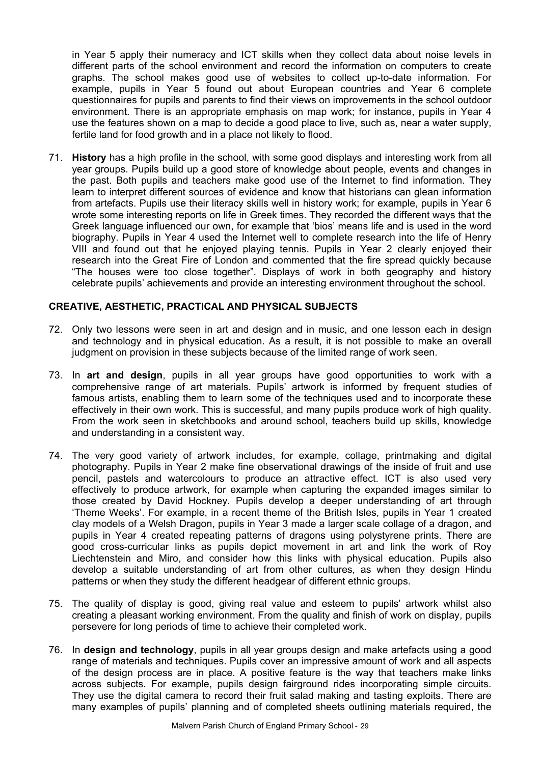in Year 5 apply their numeracy and ICT skills when they collect data about noise levels in different parts of the school environment and record the information on computers to create graphs. The school makes good use of websites to collect up-to-date information. For example, pupils in Year 5 found out about European countries and Year 6 complete questionnaires for pupils and parents to find their views on improvements in the school outdoor environment. There is an appropriate emphasis on map work; for instance, pupils in Year 4 use the features shown on a map to decide a good place to live, such as, near a water supply, fertile land for food growth and in a place not likely to flood.

71. **History** has a high profile in the school, with some good displays and interesting work from all year groups. Pupils build up a good store of knowledge about people, events and changes in the past. Both pupils and teachers make good use of the Internet to find information. They learn to interpret different sources of evidence and know that historians can glean information from artefacts. Pupils use their literacy skills well in history work; for example, pupils in Year 6 wrote some interesting reports on life in Greek times. They recorded the different ways that the Greek language influenced our own, for example that 'bios' means life and is used in the word biography. Pupils in Year 4 used the Internet well to complete research into the life of Henry VIII and found out that he enjoyed playing tennis. Pupils in Year 2 clearly enjoyed their research into the Great Fire of London and commented that the fire spread quickly because "The houses were too close together". Displays of work in both geography and history celebrate pupils' achievements and provide an interesting environment throughout the school.

#### **CREATIVE, AESTHETIC, PRACTICAL AND PHYSICAL SUBJECTS**

- 72. Only two lessons were seen in art and design and in music, and one lesson each in design and technology and in physical education. As a result, it is not possible to make an overall judgment on provision in these subjects because of the limited range of work seen.
- 73. In **art and design**, pupils in all year groups have good opportunities to work with a comprehensive range of art materials. Pupils' artwork is informed by frequent studies of famous artists, enabling them to learn some of the techniques used and to incorporate these effectively in their own work. This is successful, and many pupils produce work of high quality. From the work seen in sketchbooks and around school, teachers build up skills, knowledge and understanding in a consistent way.
- 74. The very good variety of artwork includes, for example, collage, printmaking and digital photography. Pupils in Year 2 make fine observational drawings of the inside of fruit and use pencil, pastels and watercolours to produce an attractive effect. ICT is also used very effectively to produce artwork, for example when capturing the expanded images similar to those created by David Hockney. Pupils develop a deeper understanding of art through 'Theme Weeks'. For example, in a recent theme of the British Isles, pupils in Year 1 created clay models of a Welsh Dragon, pupils in Year 3 made a larger scale collage of a dragon, and pupils in Year 4 created repeating patterns of dragons using polystyrene prints. There are good cross-curricular links as pupils depict movement in art and link the work of Roy Liechtenstein and Miro, and consider how this links with physical education. Pupils also develop a suitable understanding of art from other cultures, as when they design Hindu patterns or when they study the different headgear of different ethnic groups.
- 75. The quality of display is good, giving real value and esteem to pupils' artwork whilst also creating a pleasant working environment. From the quality and finish of work on display, pupils persevere for long periods of time to achieve their completed work.
- 76. In **design and technology**, pupils in all year groups design and make artefacts using a good range of materials and techniques. Pupils cover an impressive amount of work and all aspects of the design process are in place. A positive feature is the way that teachers make links across subjects. For example, pupils design fairground rides incorporating simple circuits. They use the digital camera to record their fruit salad making and tasting exploits. There are many examples of pupils' planning and of completed sheets outlining materials required, the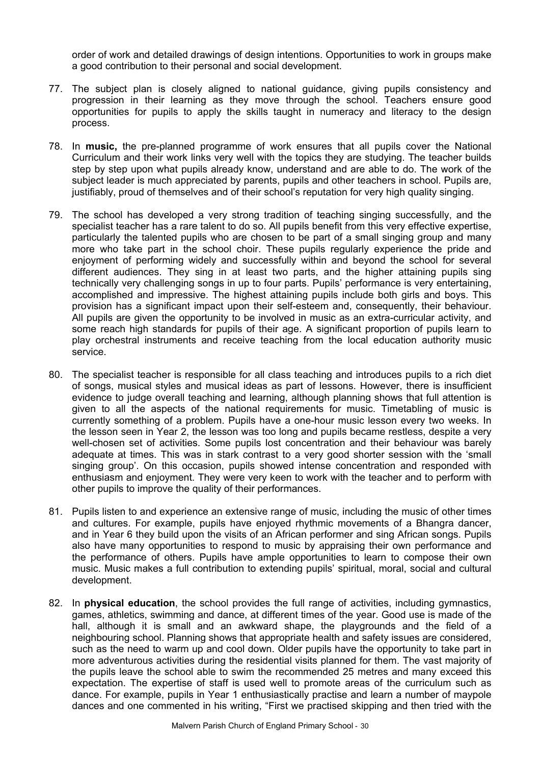order of work and detailed drawings of design intentions. Opportunities to work in groups make a good contribution to their personal and social development.

- 77. The subject plan is closely aligned to national guidance, giving pupils consistency and progression in their learning as they move through the school. Teachers ensure good opportunities for pupils to apply the skills taught in numeracy and literacy to the design process.
- 78. In **music,** the pre-planned programme of work ensures that all pupils cover the National Curriculum and their work links very well with the topics they are studying. The teacher builds step by step upon what pupils already know, understand and are able to do. The work of the subject leader is much appreciated by parents, pupils and other teachers in school. Pupils are, justifiably, proud of themselves and of their school's reputation for very high quality singing.
- 79. The school has developed a very strong tradition of teaching singing successfully, and the specialist teacher has a rare talent to do so. All pupils benefit from this very effective expertise, particularly the talented pupils who are chosen to be part of a small singing group and many more who take part in the school choir. These pupils regularly experience the pride and enjoyment of performing widely and successfully within and beyond the school for several different audiences. They sing in at least two parts, and the higher attaining pupils sing technically very challenging songs in up to four parts. Pupils' performance is very entertaining, accomplished and impressive. The highest attaining pupils include both girls and boys. This provision has a significant impact upon their self-esteem and, consequently, their behaviour. All pupils are given the opportunity to be involved in music as an extra-curricular activity, and some reach high standards for pupils of their age. A significant proportion of pupils learn to play orchestral instruments and receive teaching from the local education authority music service.
- 80. The specialist teacher is responsible for all class teaching and introduces pupils to a rich diet of songs, musical styles and musical ideas as part of lessons. However, there is insufficient evidence to judge overall teaching and learning, although planning shows that full attention is given to all the aspects of the national requirements for music. Timetabling of music is currently something of a problem. Pupils have a one-hour music lesson every two weeks. In the lesson seen in Year 2, the lesson was too long and pupils became restless, despite a very well-chosen set of activities. Some pupils lost concentration and their behaviour was barely adequate at times. This was in stark contrast to a very good shorter session with the 'small singing group'. On this occasion, pupils showed intense concentration and responded with enthusiasm and enjoyment. They were very keen to work with the teacher and to perform with other pupils to improve the quality of their performances.
- 81. Pupils listen to and experience an extensive range of music, including the music of other times and cultures. For example, pupils have enjoyed rhythmic movements of a Bhangra dancer, and in Year 6 they build upon the visits of an African performer and sing African songs. Pupils also have many opportunities to respond to music by appraising their own performance and the performance of others. Pupils have ample opportunities to learn to compose their own music. Music makes a full contribution to extending pupils' spiritual, moral, social and cultural development.
- 82. In **physical education**, the school provides the full range of activities, including gymnastics, games, athletics, swimming and dance, at different times of the year. Good use is made of the hall, although it is small and an awkward shape, the playgrounds and the field of a neighbouring school. Planning shows that appropriate health and safety issues are considered, such as the need to warm up and cool down. Older pupils have the opportunity to take part in more adventurous activities during the residential visits planned for them. The vast majority of the pupils leave the school able to swim the recommended 25 metres and many exceed this expectation. The expertise of staff is used well to promote areas of the curriculum such as dance. For example, pupils in Year 1 enthusiastically practise and learn a number of maypole dances and one commented in his writing, "First we practised skipping and then tried with the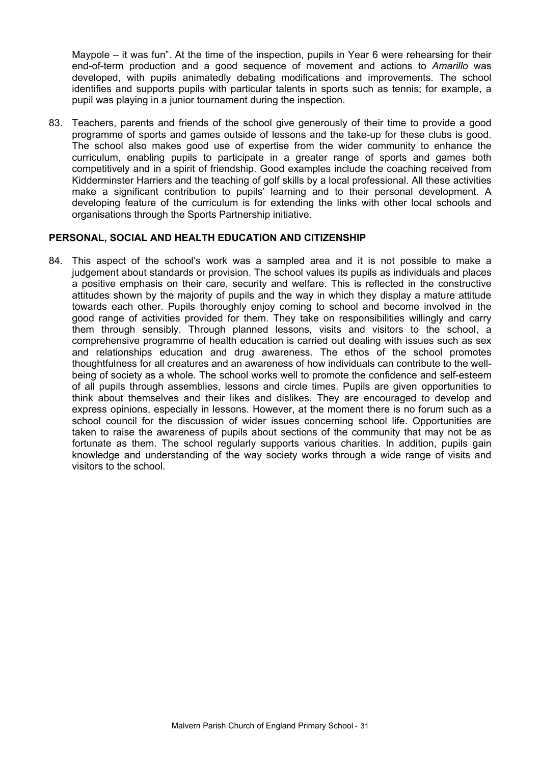Maypole – it was fun". At the time of the inspection, pupils in Year 6 were rehearsing for their end-of-term production and a good sequence of movement and actions to *Amarillo* was developed, with pupils animatedly debating modifications and improvements. The school identifies and supports pupils with particular talents in sports such as tennis; for example, a pupil was playing in a junior tournament during the inspection.

83. Teachers, parents and friends of the school give generously of their time to provide a good programme of sports and games outside of lessons and the take-up for these clubs is good. The school also makes good use of expertise from the wider community to enhance the curriculum, enabling pupils to participate in a greater range of sports and games both competitively and in a spirit of friendship. Good examples include the coaching received from Kidderminster Harriers and the teaching of golf skills by a local professional. All these activities make a significant contribution to pupils' learning and to their personal development. A developing feature of the curriculum is for extending the links with other local schools and organisations through the Sports Partnership initiative.

## **PERSONAL, SOCIAL AND HEALTH EDUCATION AND CITIZENSHIP**

84. This aspect of the school's work was a sampled area and it is not possible to make a judgement about standards or provision. The school values its pupils as individuals and places a positive emphasis on their care, security and welfare. This is reflected in the constructive attitudes shown by the majority of pupils and the way in which they display a mature attitude towards each other. Pupils thoroughly enjoy coming to school and become involved in the good range of activities provided for them. They take on responsibilities willingly and carry them through sensibly. Through planned lessons, visits and visitors to the school, a comprehensive programme of health education is carried out dealing with issues such as sex and relationships education and drug awareness. The ethos of the school promotes thoughtfulness for all creatures and an awareness of how individuals can contribute to the wellbeing of society as a whole. The school works well to promote the confidence and self-esteem of all pupils through assemblies, lessons and circle times. Pupils are given opportunities to think about themselves and their likes and dislikes. They are encouraged to develop and express opinions, especially in lessons. However, at the moment there is no forum such as a school council for the discussion of wider issues concerning school life. Opportunities are taken to raise the awareness of pupils about sections of the community that may not be as fortunate as them. The school regularly supports various charities. In addition, pupils gain knowledge and understanding of the way society works through a wide range of visits and visitors to the school.